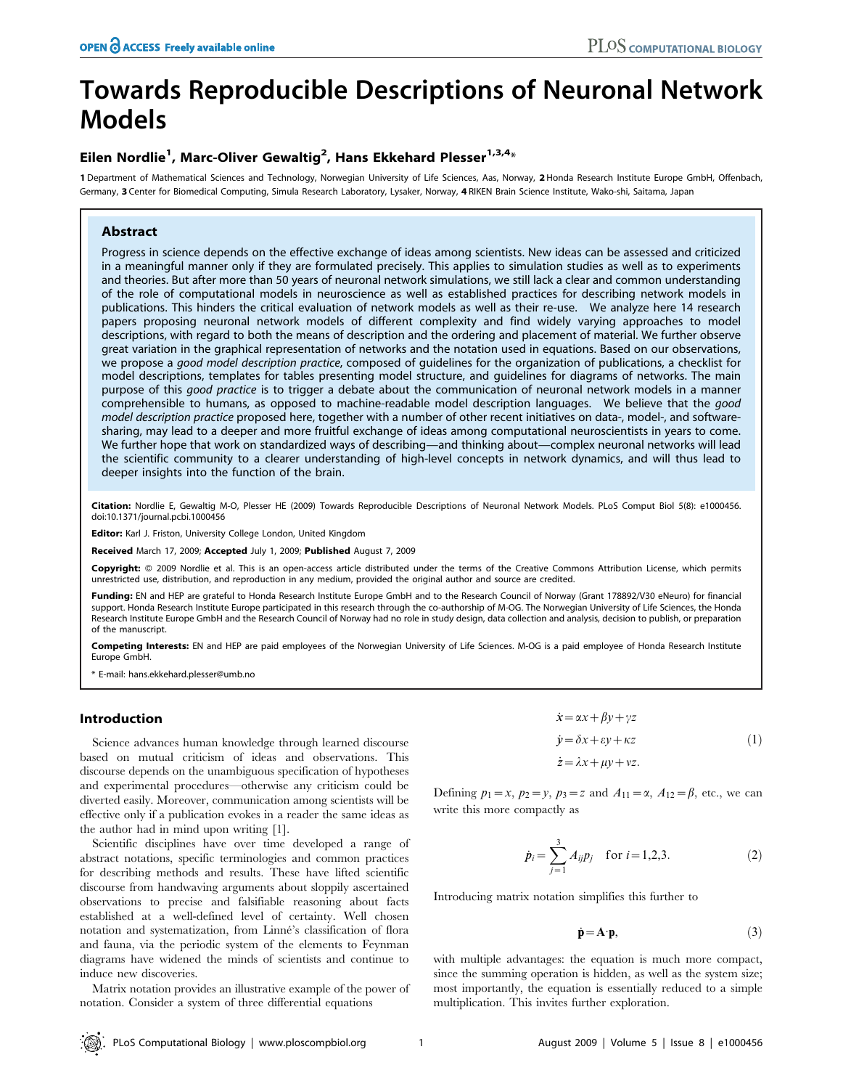# Towards Reproducible Descriptions of Neuronal Network Models

## Eilen Nordlie<sup>1</sup>, Marc-Oliver Gewaltig<sup>2</sup>, Hans Ekkehard Plesser<sup>1,3,4</sup>\*

1 Department of Mathematical Sciences and Technology, Norwegian University of Life Sciences, Aas, Norway, 2Honda Research Institute Europe GmbH, Offenbach, Germany, 3 Center for Biomedical Computing, Simula Research Laboratory, Lysaker, Norway, 4 RIKEN Brain Science Institute, Wako-shi, Saitama, Japan

## Abstract

Progress in science depends on the effective exchange of ideas among scientists. New ideas can be assessed and criticized in a meaningful manner only if they are formulated precisely. This applies to simulation studies as well as to experiments and theories. But after more than 50 years of neuronal network simulations, we still lack a clear and common understanding of the role of computational models in neuroscience as well as established practices for describing network models in publications. This hinders the critical evaluation of network models as well as their re-use. We analyze here 14 research papers proposing neuronal network models of different complexity and find widely varying approaches to model descriptions, with regard to both the means of description and the ordering and placement of material. We further observe great variation in the graphical representation of networks and the notation used in equations. Based on our observations, we propose a good model description practice, composed of guidelines for the organization of publications, a checklist for model descriptions, templates for tables presenting model structure, and guidelines for diagrams of networks. The main purpose of this good practice is to trigger a debate about the communication of neuronal network models in a manner comprehensible to humans, as opposed to machine-readable model description languages. We believe that the good model description practice proposed here, together with a number of other recent initiatives on data-, model-, and softwaresharing, may lead to a deeper and more fruitful exchange of ideas among computational neuroscientists in years to come. We further hope that work on standardized ways of describing—and thinking about—complex neuronal networks will lead the scientific community to a clearer understanding of high-level concepts in network dynamics, and will thus lead to deeper insights into the function of the brain.

Citation: Nordlie E, Gewaltig M-O, Plesser HE (2009) Towards Reproducible Descriptions of Neuronal Network Models. PLoS Comput Biol 5(8): e1000456. doi:10.1371/journal.pcbi.1000456

Editor: Karl J. Friston, University College London, United Kingdom

Received March 17, 2009; Accepted July 1, 2009; Published August 7, 2009

Copyright: @ 2009 Nordlie et al. This is an open-access article distributed under the terms of the Creative Commons Attribution License, which permits unrestricted use, distribution, and reproduction in any medium, provided the original author and source are credited.

Funding: EN and HEP are grateful to Honda Research Institute Europe GmbH and to the Research Council of Norway (Grant 178892/V30 eNeuro) for financial support. Honda Research Institute Europe participated in this research through the co-authorship of M-OG. The Norwegian University of Life Sciences, the Honda Research Institute Europe GmbH and the Research Council of Norway had no role in study design, data collection and analysis, decision to publish, or preparation of the manuscript.

Competing Interests: EN and HEP are paid employees of the Norwegian University of Life Sciences. M-OG is a paid employee of Honda Research Institute Europe GmbH.

\* E-mail: hans.ekkehard.plesser@umb.no

## Introduction

Science advances human knowledge through learned discourse based on mutual criticism of ideas and observations. This discourse depends on the unambiguous specification of hypotheses and experimental procedures—otherwise any criticism could be diverted easily. Moreover, communication among scientists will be effective only if a publication evokes in a reader the same ideas as the author had in mind upon writing [1].

Scientific disciplines have over time developed a range of abstract notations, specific terminologies and common practices for describing methods and results. These have lifted scientific discourse from handwaving arguments about sloppily ascertained observations to precise and falsifiable reasoning about facts established at a well-defined level of certainty. Well chosen notation and systematization, from Linne´'s classification of flora and fauna, via the periodic system of the elements to Feynman diagrams have widened the minds of scientists and continue to induce new discoveries.

Matrix notation provides an illustrative example of the power of notation. Consider a system of three differential equations

$$
\begin{aligned}\n\dot{x} &= \alpha x + \beta y + \gamma z \\
\dot{y} &= \delta x + \varepsilon y + \kappa z \\
\dot{z} &= \lambda x + \mu y + \nu z.\n\end{aligned} \tag{1}
$$

Defining  $p_1=x$ ,  $p_2=y$ ,  $p_3=z$  and  $A_{11}=\alpha$ ,  $A_{12}=\beta$ , etc., we can write this more compactly as

$$
\dot{p}_i = \sum_{j=1}^3 A_{ij} p_j \quad \text{for } i = 1, 2, 3. \tag{2}
$$

Introducing matrix notation simplifies this further to

$$
\dot{\mathbf{p}} = \mathbf{A} \cdot \mathbf{p},\tag{3}
$$

with multiple advantages: the equation is much more compact, since the summing operation is hidden, as well as the system size; most importantly, the equation is essentially reduced to a simple multiplication. This invites further exploration.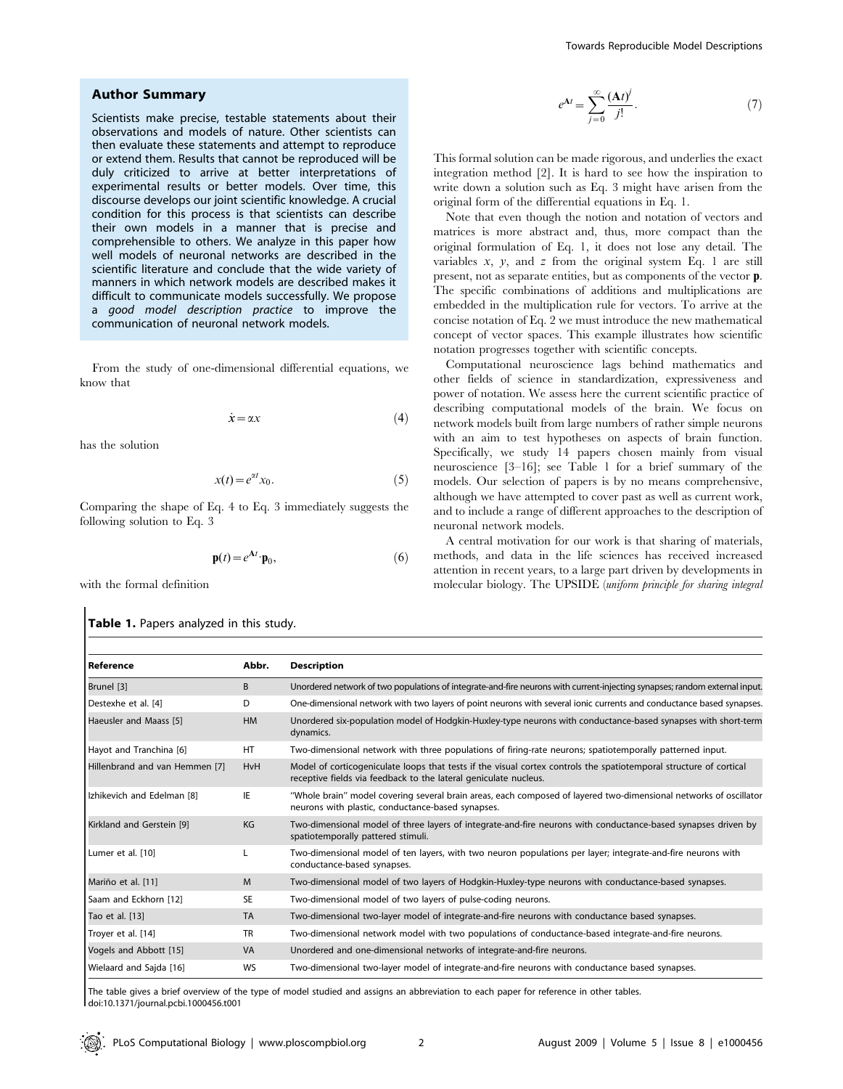#### Author Summary

Scientists make precise, testable statements about their observations and models of nature. Other scientists can then evaluate these statements and attempt to reproduce or extend them. Results that cannot be reproduced will be duly criticized to arrive at better interpretations of experimental results or better models. Over time, this discourse develops our joint scientific knowledge. A crucial condition for this process is that scientists can describe their own models in a manner that is precise and comprehensible to others. We analyze in this paper how well models of neuronal networks are described in the scientific literature and conclude that the wide variety of manners in which network models are described makes it difficult to communicate models successfully. We propose a good model description practice to improve the communication of neuronal network models.

From the study of one-dimensional differential equations, we know that

$$
\dot{x} = \alpha x \tag{4}
$$

has the solution

$$
x(t) = e^{\alpha t} x_0.
$$
 (5)

Comparing the shape of Eq. 4 to Eq. 3 immediately suggests the following solution to Eq. 3

$$
\mathbf{p}(t) = e^{\mathbf{A}t} \cdot \mathbf{p}_0,\tag{6}
$$

with the formal definition

#### Table 1. Papers analyzed in this study.

$$
e^{\mathbf{A}t} = \sum_{j=0}^{\infty} \frac{(\mathbf{A}t)^j}{j!}.
$$
 (7)

This formal solution can be made rigorous, and underlies the exact integration method [2]. It is hard to see how the inspiration to write down a solution such as Eq. 3 might have arisen from the original form of the differential equations in Eq. 1.

Note that even though the notion and notation of vectors and matrices is more abstract and, thus, more compact than the original formulation of Eq. 1, it does not lose any detail. The variables  $x$ ,  $y$ , and  $z$  from the original system Eq. 1 are still present, not as separate entities, but as components of the vector p. The specific combinations of additions and multiplications are embedded in the multiplication rule for vectors. To arrive at the concise notation of Eq. 2 we must introduce the new mathematical concept of vector spaces. This example illustrates how scientific notation progresses together with scientific concepts.

Computational neuroscience lags behind mathematics and other fields of science in standardization, expressiveness and power of notation. We assess here the current scientific practice of describing computational models of the brain. We focus on network models built from large numbers of rather simple neurons with an aim to test hypotheses on aspects of brain function. Specifically, we study 14 papers chosen mainly from visual neuroscience [3–16]; see Table 1 for a brief summary of the models. Our selection of papers is by no means comprehensive, although we have attempted to cover past as well as current work, and to include a range of different approaches to the description of neuronal network models.

A central motivation for our work is that sharing of materials, methods, and data in the life sciences has received increased attention in recent years, to a large part driven by developments in molecular biology. The UPSIDE (uniform principle for sharing integral

| Reference                      | Abbr.      | <b>Description</b>                                                                                                                                                                     |  |
|--------------------------------|------------|----------------------------------------------------------------------------------------------------------------------------------------------------------------------------------------|--|
| Brunel [3]                     | B          | Unordered network of two populations of integrate-and-fire neurons with current-injecting synapses; random external input.                                                             |  |
| Destexhe et al. [4]            | D          | One-dimensional network with two layers of point neurons with several ionic currents and conductance based synapses.                                                                   |  |
| Haeusler and Maass [5]         | <b>HM</b>  | Unordered six-population model of Hodgkin-Huxley-type neurons with conductance-based synapses with short-term<br>dynamics.                                                             |  |
| Hayot and Tranchina [6]        | HT         | Two-dimensional network with three populations of firing-rate neurons; spatiotemporally patterned input.                                                                               |  |
| Hillenbrand and van Hemmen [7] | <b>HvH</b> | Model of corticogeniculate loops that tests if the visual cortex controls the spatiotemporal structure of cortical<br>receptive fields via feedback to the lateral geniculate nucleus. |  |
| Izhikevich and Edelman [8]     | ΙE         | "Whole brain" model covering several brain areas, each composed of layered two-dimensional networks of oscillator<br>neurons with plastic, conductance-based synapses.                 |  |
| Kirkland and Gerstein [9]      | KG         | Two-dimensional model of three layers of integrate-and-fire neurons with conductance-based synapses driven by<br>spatiotemporally pattered stimuli.                                    |  |
| Lumer et al. [10]              |            | Two-dimensional model of ten layers, with two neuron populations per layer; integrate-and-fire neurons with<br>conductance-based synapses.                                             |  |
| Mariño et al. [11]             | M          | Two-dimensional model of two layers of Hodgkin-Huxley-type neurons with conductance-based synapses.                                                                                    |  |
| Saam and Eckhorn [12]          | <b>SE</b>  | Two-dimensional model of two layers of pulse-coding neurons.                                                                                                                           |  |
| Tao et al. [13]                | <b>TA</b>  | Two-dimensional two-layer model of integrate-and-fire neurons with conductance based synapses.                                                                                         |  |
| Troyer et al. [14]             | <b>TR</b>  | Two-dimensional network model with two populations of conductance-based integrate-and-fire neurons.                                                                                    |  |
| Vogels and Abbott [15]         | VA         | Unordered and one-dimensional networks of integrate-and-fire neurons.                                                                                                                  |  |
| Wielaard and Sajda [16]        | <b>WS</b>  | Two-dimensional two-layer model of integrate-and-fire neurons with conductance based synapses.                                                                                         |  |

The table gives a brief overview of the type of model studied and assigns an abbreviation to each paper for reference in other tables. doi:10.1371/journal.pcbi.1000456.t001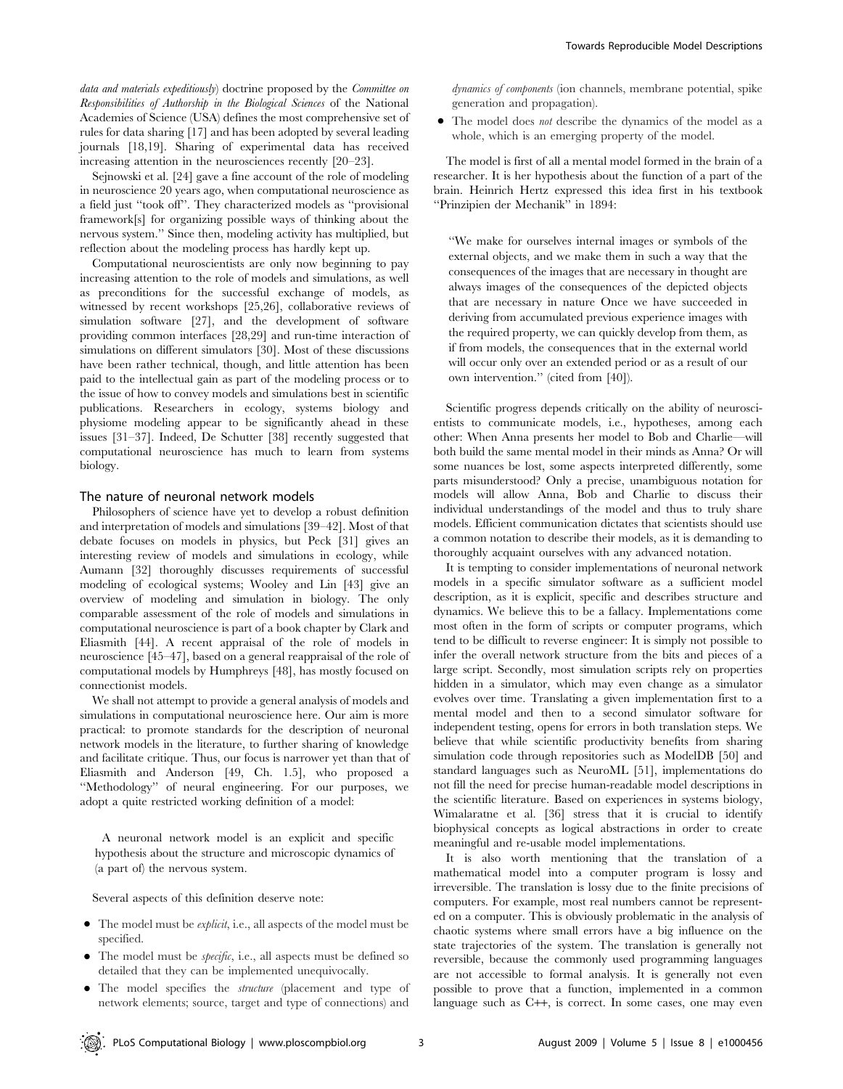data and materials expeditiously) doctrine proposed by the Committee on Responsibilities of Authorship in the Biological Sciences of the National Academies of Science (USA) defines the most comprehensive set of rules for data sharing [17] and has been adopted by several leading journals [18,19]. Sharing of experimental data has received increasing attention in the neurosciences recently [20–23].

Sejnowski et al. [24] gave a fine account of the role of modeling in neuroscience 20 years ago, when computational neuroscience as a field just ''took off''. They characterized models as ''provisional framework[s] for organizing possible ways of thinking about the nervous system.'' Since then, modeling activity has multiplied, but reflection about the modeling process has hardly kept up.

Computational neuroscientists are only now beginning to pay increasing attention to the role of models and simulations, as well as preconditions for the successful exchange of models, as witnessed by recent workshops [25,26], collaborative reviews of simulation software [27], and the development of software providing common interfaces [28,29] and run-time interaction of simulations on different simulators [30]. Most of these discussions have been rather technical, though, and little attention has been paid to the intellectual gain as part of the modeling process or to the issue of how to convey models and simulations best in scientific publications. Researchers in ecology, systems biology and physiome modeling appear to be significantly ahead in these issues [31–37]. Indeed, De Schutter [38] recently suggested that computational neuroscience has much to learn from systems biology.

#### The nature of neuronal network models

Philosophers of science have yet to develop a robust definition and interpretation of models and simulations [39–42]. Most of that debate focuses on models in physics, but Peck [31] gives an interesting review of models and simulations in ecology, while Aumann [32] thoroughly discusses requirements of successful modeling of ecological systems; Wooley and Lin [43] give an overview of modeling and simulation in biology. The only comparable assessment of the role of models and simulations in computational neuroscience is part of a book chapter by Clark and Eliasmith [44]. A recent appraisal of the role of models in neuroscience [45–47], based on a general reappraisal of the role of computational models by Humphreys [48], has mostly focused on connectionist models.

We shall not attempt to provide a general analysis of models and simulations in computational neuroscience here. Our aim is more practical: to promote standards for the description of neuronal network models in the literature, to further sharing of knowledge and facilitate critique. Thus, our focus is narrower yet than that of Eliasmith and Anderson [49, Ch. 1.5], who proposed a ''Methodology'' of neural engineering. For our purposes, we adopt a quite restricted working definition of a model:

A neuronal network model is an explicit and specific hypothesis about the structure and microscopic dynamics of (a part of) the nervous system.

Several aspects of this definition deserve note:

- $\bullet$  The model must be *explicit*, i.e., all aspects of the model must be specified.
- The model must be *specific*, i.e., all aspects must be defined so detailed that they can be implemented unequivocally.
- N The model specifies the structure (placement and type of network elements; source, target and type of connections) and

dynamics of components (ion channels, membrane potential, spike generation and propagation).

• The model does *not* describe the dynamics of the model as a whole, which is an emerging property of the model.

The model is first of all a mental model formed in the brain of a researcher. It is her hypothesis about the function of a part of the brain. Heinrich Hertz expressed this idea first in his textbook ''Prinzipien der Mechanik'' in 1894:

''We make for ourselves internal images or symbols of the external objects, and we make them in such a way that the consequences of the images that are necessary in thought are always images of the consequences of the depicted objects that are necessary in nature Once we have succeeded in deriving from accumulated previous experience images with the required property, we can quickly develop from them, as if from models, the consequences that in the external world will occur only over an extended period or as a result of our own intervention.'' (cited from [40]).

Scientific progress depends critically on the ability of neuroscientists to communicate models, i.e., hypotheses, among each other: When Anna presents her model to Bob and Charlie—will both build the same mental model in their minds as Anna? Or will some nuances be lost, some aspects interpreted differently, some parts misunderstood? Only a precise, unambiguous notation for models will allow Anna, Bob and Charlie to discuss their individual understandings of the model and thus to truly share models. Efficient communication dictates that scientists should use a common notation to describe their models, as it is demanding to thoroughly acquaint ourselves with any advanced notation.

It is tempting to consider implementations of neuronal network models in a specific simulator software as a sufficient model description, as it is explicit, specific and describes structure and dynamics. We believe this to be a fallacy. Implementations come most often in the form of scripts or computer programs, which tend to be difficult to reverse engineer: It is simply not possible to infer the overall network structure from the bits and pieces of a large script. Secondly, most simulation scripts rely on properties hidden in a simulator, which may even change as a simulator evolves over time. Translating a given implementation first to a mental model and then to a second simulator software for independent testing, opens for errors in both translation steps. We believe that while scientific productivity benefits from sharing simulation code through repositories such as ModelDB [50] and standard languages such as NeuroML [51], implementations do not fill the need for precise human-readable model descriptions in the scientific literature. Based on experiences in systems biology, Wimalaratne et al. [36] stress that it is crucial to identify biophysical concepts as logical abstractions in order to create meaningful and re-usable model implementations.

It is also worth mentioning that the translation of a mathematical model into a computer program is lossy and irreversible. The translation is lossy due to the finite precisions of computers. For example, most real numbers cannot be represented on a computer. This is obviously problematic in the analysis of chaotic systems where small errors have a big influence on the state trajectories of the system. The translation is generally not reversible, because the commonly used programming languages are not accessible to formal analysis. It is generally not even possible to prove that a function, implemented in a common language such as C++, is correct. In some cases, one may even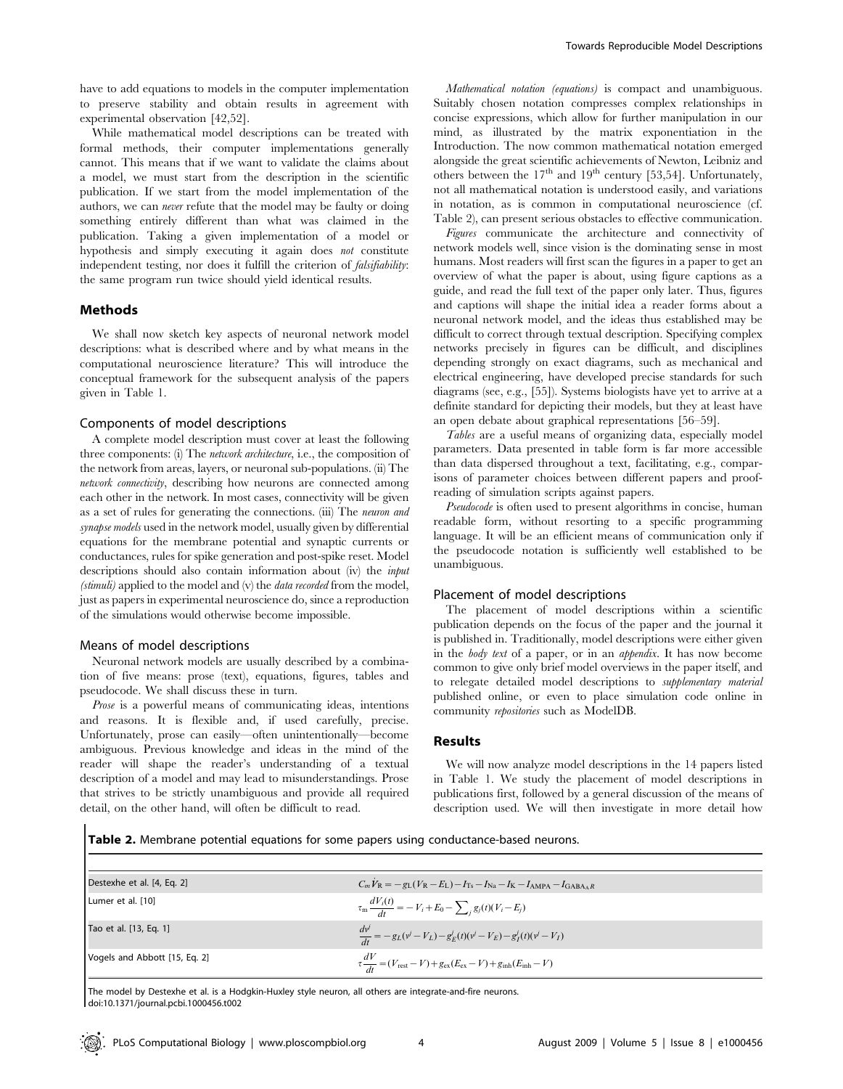have to add equations to models in the computer implementation to preserve stability and obtain results in agreement with experimental observation [42,52].

While mathematical model descriptions can be treated with formal methods, their computer implementations generally cannot. This means that if we want to validate the claims about a model, we must start from the description in the scientific publication. If we start from the model implementation of the authors, we can never refute that the model may be faulty or doing something entirely different than what was claimed in the publication. Taking a given implementation of a model or hypothesis and simply executing it again does *not* constitute independent testing, nor does it fulfill the criterion of falsifiability: the same program run twice should yield identical results.

## Methods

We shall now sketch key aspects of neuronal network model descriptions: what is described where and by what means in the computational neuroscience literature? This will introduce the conceptual framework for the subsequent analysis of the papers given in Table 1.

#### Components of model descriptions

A complete model description must cover at least the following three components: (i) The network architecture, i.e., the composition of the network from areas, layers, or neuronal sub-populations. (ii) The network connectivity, describing how neurons are connected among each other in the network. In most cases, connectivity will be given as a set of rules for generating the connections. (iii) The neuron and synapse models used in the network model, usually given by differential equations for the membrane potential and synaptic currents or conductances, rules for spike generation and post-spike reset. Model descriptions should also contain information about (iv) the *input* (stimuli) applied to the model and (v) the *data recorded* from the model, just as papers in experimental neuroscience do, since a reproduction of the simulations would otherwise become impossible.

## Means of model descriptions

Neuronal network models are usually described by a combination of five means: prose (text), equations, figures, tables and pseudocode. We shall discuss these in turn.

Prose is a powerful means of communicating ideas, intentions and reasons. It is flexible and, if used carefully, precise. Unfortunately, prose can easily—often unintentionally—become ambiguous. Previous knowledge and ideas in the mind of the reader will shape the reader's understanding of a textual description of a model and may lead to misunderstandings. Prose that strives to be strictly unambiguous and provide all required detail, on the other hand, will often be difficult to read.

Mathematical notation (equations) is compact and unambiguous. Suitably chosen notation compresses complex relationships in concise expressions, which allow for further manipulation in our mind, as illustrated by the matrix exponentiation in the Introduction. The now common mathematical notation emerged alongside the great scientific achievements of Newton, Leibniz and others between the  $17<sup>th</sup>$  and  $19<sup>th</sup>$  century [53,54]. Unfortunately, not all mathematical notation is understood easily, and variations in notation, as is common in computational neuroscience (cf. Table 2), can present serious obstacles to effective communication.

Figures communicate the architecture and connectivity of network models well, since vision is the dominating sense in most humans. Most readers will first scan the figures in a paper to get an overview of what the paper is about, using figure captions as a guide, and read the full text of the paper only later. Thus, figures and captions will shape the initial idea a reader forms about a neuronal network model, and the ideas thus established may be difficult to correct through textual description. Specifying complex networks precisely in figures can be difficult, and disciplines depending strongly on exact diagrams, such as mechanical and electrical engineering, have developed precise standards for such diagrams (see, e.g., [55]). Systems biologists have yet to arrive at a definite standard for depicting their models, but they at least have an open debate about graphical representations [56–59].

Tables are a useful means of organizing data, especially model parameters. Data presented in table form is far more accessible than data dispersed throughout a text, facilitating, e.g., comparisons of parameter choices between different papers and proofreading of simulation scripts against papers.

Pseudocode is often used to present algorithms in concise, human readable form, without resorting to a specific programming language. It will be an efficient means of communication only if the pseudocode notation is sufficiently well established to be unambiguous.

#### Placement of model descriptions

The placement of model descriptions within a scientific publication depends on the focus of the paper and the journal it is published in. Traditionally, model descriptions were either given in the body text of a paper, or in an appendix. It has now become common to give only brief model overviews in the paper itself, and to relegate detailed model descriptions to supplementary material published online, or even to place simulation code online in community repositories such as ModelDB.

#### Results

We will now analyze model descriptions in the 14 papers listed in Table 1. We study the placement of model descriptions in publications first, followed by a general discussion of the means of description used. We will then investigate in more detail how

Table 2. Membrane potential equations for some papers using conductance-based neurons.

| Destexhe et al. [4, Eq. 2]    | $C_m V_R = -g_L (V_R - E_L) - I_{Ts} - I_{Na} - I_K - I_{AMPA} - I_{GABA}R$                                          |
|-------------------------------|----------------------------------------------------------------------------------------------------------------------|
| Lumer et al. [10]             | $\tau_{\rm m} \frac{dV_i(t)}{dt} = -V_i + E_0 - \sum_{i} g_j(t)(V_i - E_j)$                                          |
| Tao et al. [13, Eq. 1]        | $\frac{d\psi'}{dt} = -g_L(\psi' - V_L) - g_E^j(t)(\psi' - V_E) - g_I^j(t)(\psi' - V_I)$                              |
| Vogels and Abbott [15, Eq. 2] | $\tau \frac{dV}{dt} = (V_{\text{rest}} - V) + g_{\text{ex}}(E_{\text{ex}} - V) + g_{\text{inh}}(E_{\text{inh}} - V)$ |

The model by Destexhe et al. is a Hodgkin-Huxley style neuron, all others are integrate-and-fire neurons. doi:10.1371/journal.pcbi.1000456.t002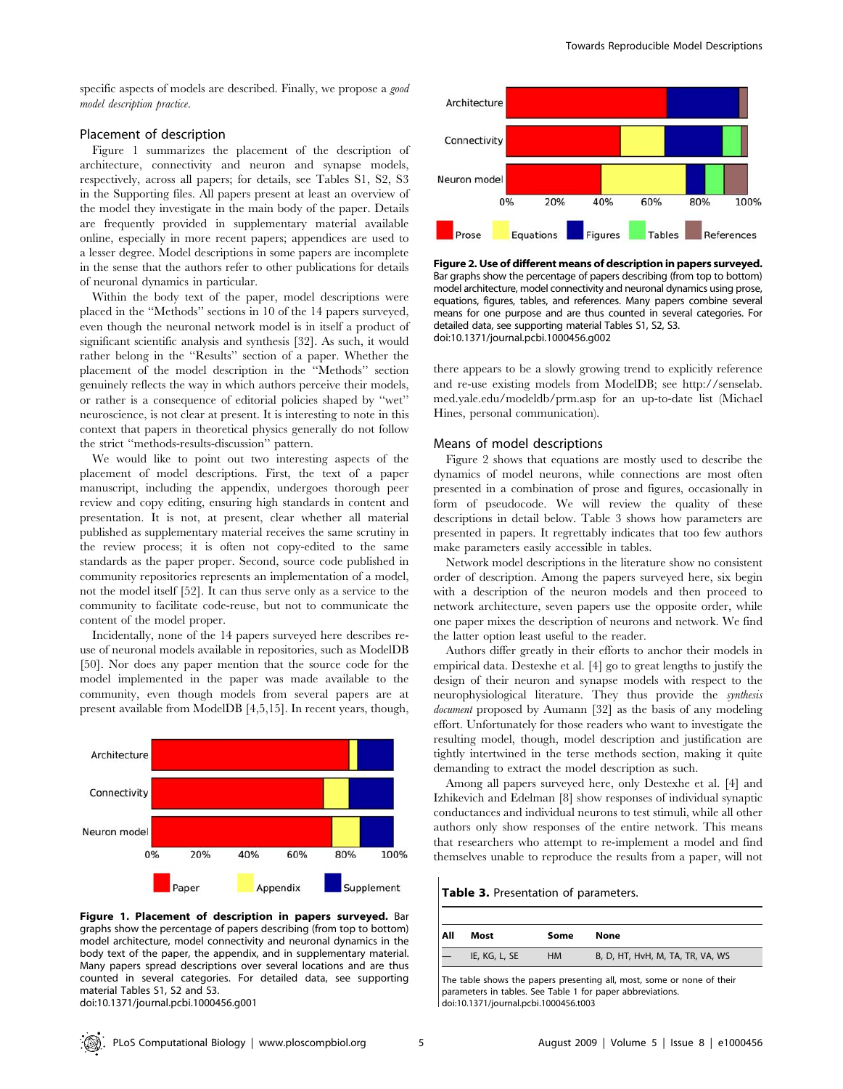specific aspects of models are described. Finally, we propose a good model description practice.

## Placement of description

Figure 1 summarizes the placement of the description of architecture, connectivity and neuron and synapse models, respectively, across all papers; for details, see Tables S1, S2, S3 in the Supporting files. All papers present at least an overview of the model they investigate in the main body of the paper. Details are frequently provided in supplementary material available online, especially in more recent papers; appendices are used to a lesser degree. Model descriptions in some papers are incomplete in the sense that the authors refer to other publications for details of neuronal dynamics in particular.

Within the body text of the paper, model descriptions were placed in the ''Methods'' sections in 10 of the 14 papers surveyed, even though the neuronal network model is in itself a product of significant scientific analysis and synthesis [32]. As such, it would rather belong in the ''Results'' section of a paper. Whether the placement of the model description in the ''Methods'' section genuinely reflects the way in which authors perceive their models, or rather is a consequence of editorial policies shaped by ''wet'' neuroscience, is not clear at present. It is interesting to note in this context that papers in theoretical physics generally do not follow the strict ''methods-results-discussion'' pattern.

We would like to point out two interesting aspects of the placement of model descriptions. First, the text of a paper manuscript, including the appendix, undergoes thorough peer review and copy editing, ensuring high standards in content and presentation. It is not, at present, clear whether all material published as supplementary material receives the same scrutiny in the review process; it is often not copy-edited to the same standards as the paper proper. Second, source code published in community repositories represents an implementation of a model, not the model itself [52]. It can thus serve only as a service to the community to facilitate code-reuse, but not to communicate the content of the model proper.

Incidentally, none of the 14 papers surveyed here describes reuse of neuronal models available in repositories, such as ModelDB [50]. Nor does any paper mention that the source code for the model implemented in the paper was made available to the community, even though models from several papers are at present available from ModelDB [4,5,15]. In recent years, though,



Figure 1. Placement of description in papers surveyed. Bar graphs show the percentage of papers describing (from top to bottom) model architecture, model connectivity and neuronal dynamics in the body text of the paper, the appendix, and in supplementary material. Many papers spread descriptions over several locations and are thus counted in several categories. For detailed data, see supporting material Tables S1, S2 and S3. doi:10.1371/journal.pcbi.1000456.g001



Figure 2. Use of different means of description in papers surveyed. Bar graphs show the percentage of papers describing (from top to bottom) model architecture, model connectivity and neuronal dynamics using prose, equations, figures, tables, and references. Many papers combine several means for one purpose and are thus counted in several categories. For detailed data, see supporting material Tables S1, S2, S3. doi:10.1371/journal.pcbi.1000456.g002

there appears to be a slowly growing trend to explicitly reference and re-use existing models from ModelDB; see http://senselab. med.yale.edu/modeldb/prm.asp for an up-to-date list (Michael Hines, personal communication).

#### Means of model descriptions

Figure 2 shows that equations are mostly used to describe the dynamics of model neurons, while connections are most often presented in a combination of prose and figures, occasionally in form of pseudocode. We will review the quality of these descriptions in detail below. Table 3 shows how parameters are presented in papers. It regrettably indicates that too few authors make parameters easily accessible in tables.

Network model descriptions in the literature show no consistent order of description. Among the papers surveyed here, six begin with a description of the neuron models and then proceed to network architecture, seven papers use the opposite order, while one paper mixes the description of neurons and network. We find the latter option least useful to the reader.

Authors differ greatly in their efforts to anchor their models in empirical data. Destexhe et al. [4] go to great lengths to justify the design of their neuron and synapse models with respect to the neurophysiological literature. They thus provide the synthesis document proposed by Aumann [32] as the basis of any modeling effort. Unfortunately for those readers who want to investigate the resulting model, though, model description and justification are tightly intertwined in the terse methods section, making it quite demanding to extract the model description as such.

Among all papers surveyed here, only Destexhe et al. [4] and Izhikevich and Edelman [8] show responses of individual synaptic conductances and individual neurons to test stimuli, while all other authors only show responses of the entire network. This means that researchers who attempt to re-implement a model and find themselves unable to reproduce the results from a paper, will not

Table 3. Presentation of parameters.

| All | Most          | Some      | None                             |
|-----|---------------|-----------|----------------------------------|
|     | IE, KG, L, SE | <b>HM</b> | B, D, HT, HvH, M, TA, TR, VA, WS |

The table shows the papers presenting all, most, some or none of their parameters in tables. See Table 1 for paper abbreviations. doi:10.1371/journal.pcbi.1000456.t003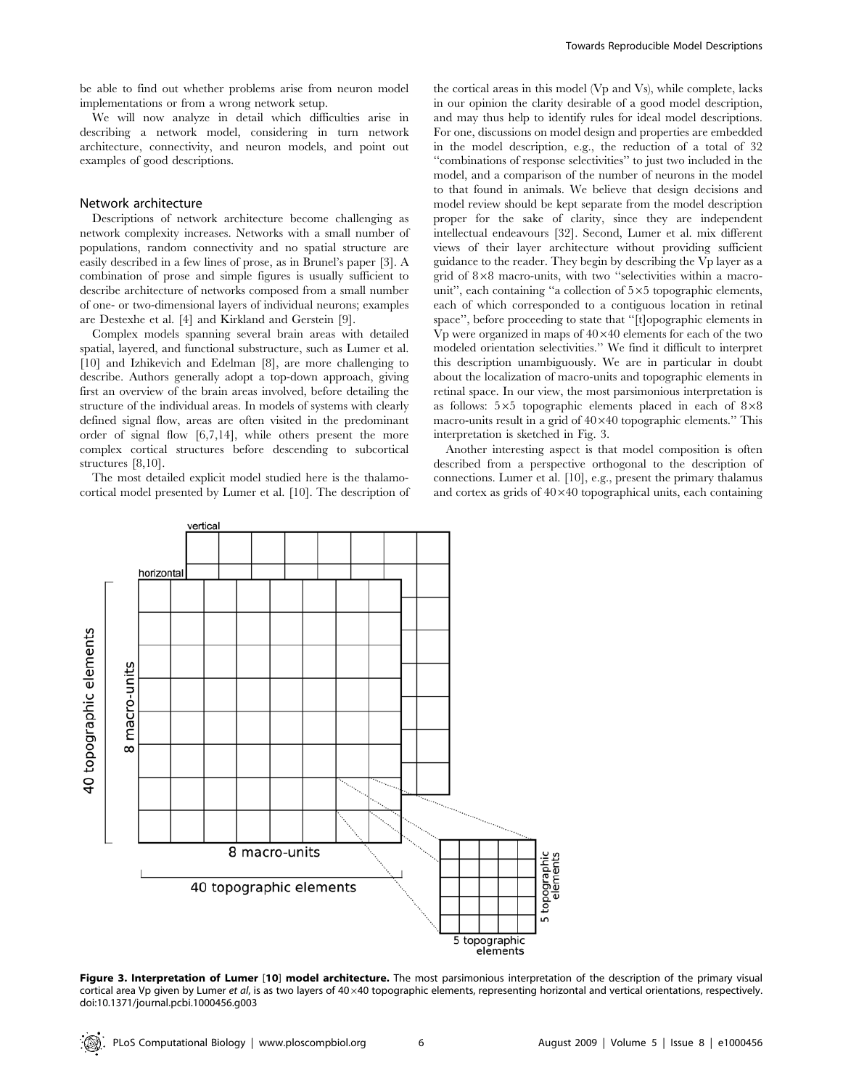be able to find out whether problems arise from neuron model implementations or from a wrong network setup.

We will now analyze in detail which difficulties arise in describing a network model, considering in turn network architecture, connectivity, and neuron models, and point out examples of good descriptions.

## Network architecture

Descriptions of network architecture become challenging as network complexity increases. Networks with a small number of populations, random connectivity and no spatial structure are easily described in a few lines of prose, as in Brunel's paper [3]. A combination of prose and simple figures is usually sufficient to describe architecture of networks composed from a small number of one- or two-dimensional layers of individual neurons; examples are Destexhe et al. [4] and Kirkland and Gerstein [9].

Complex models spanning several brain areas with detailed spatial, layered, and functional substructure, such as Lumer et al. [10] and Izhikevich and Edelman [8], are more challenging to describe. Authors generally adopt a top-down approach, giving first an overview of the brain areas involved, before detailing the structure of the individual areas. In models of systems with clearly defined signal flow, areas are often visited in the predominant order of signal flow [6,7,14], while others present the more complex cortical structures before descending to subcortical structures [8,10].

The most detailed explicit model studied here is the thalamocortical model presented by Lumer et al. [10]. The description of the cortical areas in this model (Vp and Vs), while complete, lacks in our opinion the clarity desirable of a good model description, and may thus help to identify rules for ideal model descriptions. For one, discussions on model design and properties are embedded in the model description, e.g., the reduction of a total of 32 ''combinations of response selectivities'' to just two included in the model, and a comparison of the number of neurons in the model to that found in animals. We believe that design decisions and model review should be kept separate from the model description proper for the sake of clarity, since they are independent intellectual endeavours [32]. Second, Lumer et al. mix different views of their layer architecture without providing sufficient guidance to the reader. They begin by describing the Vp layer as a grid of  $8\times8$  macro-units, with two "selectivities within a macrounit", each containing "a collection of  $5\times 5$  topographic elements, each of which corresponded to a contiguous location in retinal space'', before proceeding to state that ''[t]opographic elements in Vp were organized in maps of  $40\times40$  elements for each of the two modeled orientation selectivities.'' We find it difficult to interpret this description unambiguously. We are in particular in doubt about the localization of macro-units and topographic elements in retinal space. In our view, the most parsimonious interpretation is as follows:  $5\times5$  topographic elements placed in each of  $8\times8$ macro-units result in a grid of  $40\times40$  topographic elements." This interpretation is sketched in Fig. 3.

Another interesting aspect is that model composition is often described from a perspective orthogonal to the description of connections. Lumer et al. [10], e.g., present the primary thalamus and cortex as grids of  $40\times40$  topographical units, each containing



Figure 3. Interpretation of Lumer [10] model architecture. The most parsimonious interpretation of the description of the primary visual cortical area Vp given by Lumer et al, is as two layers of 40 $\times$ 40 topographic elements, representing horizontal and vertical orientations, respectively. doi:10.1371/journal.pcbi.1000456.g003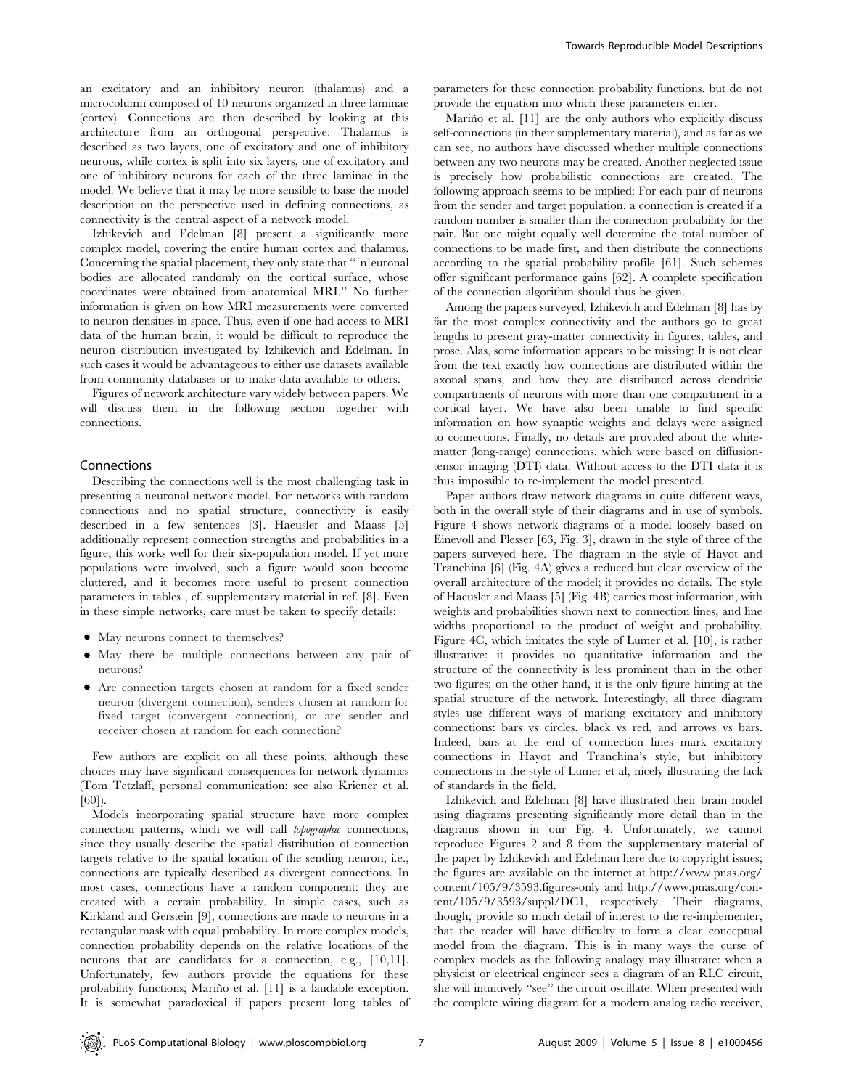an excitatory and an inhibitory neuron (thalamus) and a microcolumn composed of 10 neurons organized in three laminae (cortex). Connections are then described by looking at this architecture from an orthogonal perspective: Thalamus is described as two layers, one of excitatory and one of inhibitory neurons, while cortex is split into six layers, one of excitatory and one of inhibitory neurons for each of the three laminae in the model. We believe that it may be more sensible to base the model description on the perspective used in defining connections, as connectivity is the central aspect of a network model.

Izhikevich and Edelman [8] present a significantly more complex model, covering the entire human cortex and thalamus. Concerning the spatial placement, they only state that ''[n]euronal bodies are allocated randomly on the cortical surface, whose coordinates were obtained from anatomical MRI.'' No further information is given on how MRI measurements were converted to neuron densities in space. Thus, even if one had access to MRI data of the human brain, it would be difficult to reproduce the neuron distribution investigated by Izhikevich and Edelman. In such cases it would be advantageous to either use datasets available from community databases or to make data available to others.

Figures of network architecture vary widely between papers. We will discuss them in the following section together with connections.

#### Connections

Describing the connections well is the most challenging task in presenting a neuronal network model. For networks with random connections and no spatial structure, connectivity is easily described in a few sentences [3]. Haeusler and Maass [5] additionally represent connection strengths and probabilities in a figure; this works well for their six-population model. If yet more populations were involved, such a figure would soon become cluttered, and it becomes more useful to present connection parameters in tables , cf. supplementary material in ref. [8]. Even in these simple networks, care must be taken to specify details:

- May neurons connect to themselves?
- May there be multiple connections between any pair of neurons?
- Are connection targets chosen at random for a fixed sender neuron (divergent connection), senders chosen at random for fixed target (convergent connection), or are sender and receiver chosen at random for each connection?

Few authors are explicit on all these points, although these choices may have significant consequences for network dynamics (Tom Tetzlaff, personal communication; see also Kriener et al. [60]).

Models incorporating spatial structure have more complex connection patterns, which we will call topographic connections, since they usually describe the spatial distribution of connection targets relative to the spatial location of the sending neuron, i.e., connections are typically described as divergent connections. In most cases, connections have a random component: they are created with a certain probability. In simple cases, such as Kirkland and Gerstein [9], connections are made to neurons in a rectangular mask with equal probability. In more complex models, connection probability depends on the relative locations of the neurons that are candidates for a connection, e.g., [10,11]. Unfortunately, few authors provide the equations for these probability functions; Mariño et al. [11] is a laudable exception. It is somewhat paradoxical if papers present long tables of parameters for these connection probability functions, but do not provide the equation into which these parameters enter.

Mariño et al. [11] are the only authors who explicitly discuss self-connections (in their supplementary material), and as far as we can see, no authors have discussed whether multiple connections between any two neurons may be created. Another neglected issue is precisely how probabilistic connections are created. The following approach seems to be implied: For each pair of neurons from the sender and target population, a connection is created if a random number is smaller than the connection probability for the pair. But one might equally well determine the total number of connections to be made first, and then distribute the connections according to the spatial probability profile [61]. Such schemes offer significant performance gains [62]. A complete specification of the connection algorithm should thus be given.

Among the papers surveyed, Izhikevich and Edelman [8] has by far the most complex connectivity and the authors go to great lengths to present gray-matter connectivity in figures, tables, and prose. Alas, some information appears to be missing: It is not clear from the text exactly how connections are distributed within the axonal spans, and how they are distributed across dendritic compartments of neurons with more than one compartment in a cortical layer. We have also been unable to find specific information on how synaptic weights and delays were assigned to connections. Finally, no details are provided about the whitematter (long-range) connections, which were based on diffusiontensor imaging (DTI) data. Without access to the DTI data it is thus impossible to re-implement the model presented.

Paper authors draw network diagrams in quite different ways, both in the overall style of their diagrams and in use of symbols. Figure 4 shows network diagrams of a model loosely based on Einevoll and Plesser [63, Fig. 3], drawn in the style of three of the papers surveyed here. The diagram in the style of Hayot and Tranchina [6] (Fig. 4A) gives a reduced but clear overview of the overall architecture of the model; it provides no details. The style of Haeusler and Maass [5] (Fig. 4B) carries most information, with weights and probabilities shown next to connection lines, and line widths proportional to the product of weight and probability. Figure 4C, which imitates the style of Lumer et al. [10], is rather illustrative: it provides no quantitative information and the structure of the connectivity is less prominent than in the other two figures; on the other hand, it is the only figure hinting at the spatial structure of the network. Interestingly, all three diagram styles use different ways of marking excitatory and inhibitory connections: bars vs circles, black vs red, and arrows vs bars. Indeed, bars at the end of connection lines mark excitatory connections in Hayot and Tranchina's style, but inhibitory connections in the style of Lumer et al, nicely illustrating the lack of standards in the field.

Izhikevich and Edelman [8] have illustrated their brain model using diagrams presenting significantly more detail than in the diagrams shown in our Fig. 4. Unfortunately, we cannot reproduce Figures 2 and 8 from the supplementary material of the paper by Izhikevich and Edelman here due to copyright issues; the figures are available on the internet at http://www.pnas.org/ content/105/9/3593.figures-only and http://www.pnas.org/content/105/9/3593/suppl/DC1, respectively. Their diagrams, though, provide so much detail of interest to the re-implementer, that the reader will have difficulty to form a clear conceptual model from the diagram. This is in many ways the curse of complex models as the following analogy may illustrate: when a physicist or electrical engineer sees a diagram of an RLC circuit, she will intuitively ''see'' the circuit oscillate. When presented with the complete wiring diagram for a modern analog radio receiver,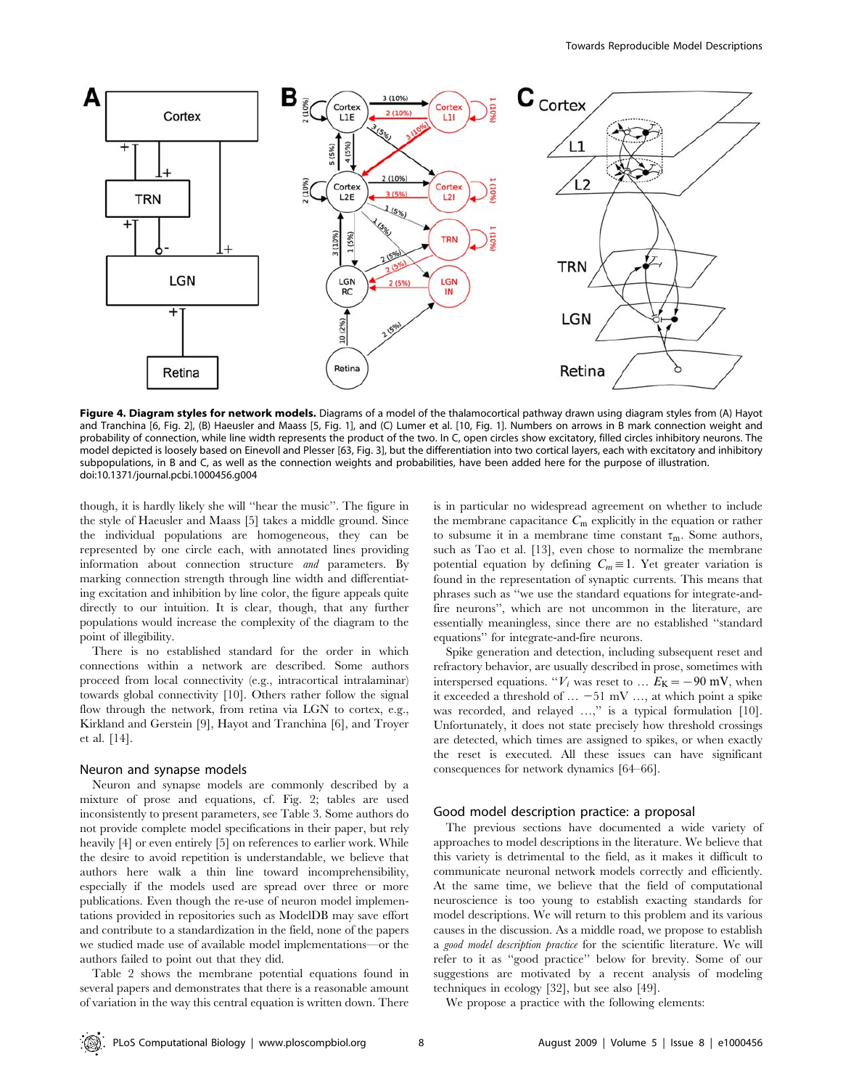

Figure 4. Diagram styles for network models. Diagrams of a model of the thalamocortical pathway drawn using diagram styles from (A) Hayot and Tranchina [6, Fig. 2], (B) Haeusler and Maass [5, Fig. 1], and (C) Lumer et al. [10, Fig. 1]. Numbers on arrows in B mark connection weight and probability of connection, while line width represents the product of the two. In C, open circles show excitatory, filled circles inhibitory neurons. The model depicted is loosely based on Einevoll and Plesser [63, Fig. 3], but the differentiation into two cortical layers, each with excitatory and inhibitory subpopulations, in B and C, as well as the connection weights and probabilities, have been added here for the purpose of illustration. doi:10.1371/journal.pcbi.1000456.g004

though, it is hardly likely she will ''hear the music''. The figure in the style of Haeusler and Maass [5] takes a middle ground. Since the individual populations are homogeneous, they can be represented by one circle each, with annotated lines providing information about connection structure and parameters. By marking connection strength through line width and differentiating excitation and inhibition by line color, the figure appeals quite directly to our intuition. It is clear, though, that any further populations would increase the complexity of the diagram to the point of illegibility.

There is no established standard for the order in which connections within a network are described. Some authors proceed from local connectivity (e.g., intracortical intralaminar) towards global connectivity [10]. Others rather follow the signal flow through the network, from retina via LGN to cortex, e.g., Kirkland and Gerstein [9], Hayot and Tranchina [6], and Troyer et al. [14].

#### Neuron and synapse models

Neuron and synapse models are commonly described by a mixture of prose and equations, cf. Fig. 2; tables are used inconsistently to present parameters, see Table 3. Some authors do not provide complete model specifications in their paper, but rely heavily [4] or even entirely [5] on references to earlier work. While the desire to avoid repetition is understandable, we believe that authors here walk a thin line toward incomprehensibility, especially if the models used are spread over three or more publications. Even though the re-use of neuron model implementations provided in repositories such as ModelDB may save effort and contribute to a standardization in the field, none of the papers we studied made use of available model implementations—or the authors failed to point out that they did.

Table 2 shows the membrane potential equations found in several papers and demonstrates that there is a reasonable amount of variation in the way this central equation is written down. There

is in particular no widespread agreement on whether to include the membrane capacitance  $C_m$  explicitly in the equation or rather to subsume it in a membrane time constant  $\tau_m$ . Some authors, such as Tao et al. [13], even chose to normalize the membrane potential equation by defining  $C_m \equiv 1$ . Yet greater variation is found in the representation of synaptic currents. This means that phrases such as ''we use the standard equations for integrate-andfire neurons'', which are not uncommon in the literature, are essentially meaningless, since there are no established ''standard equations'' for integrate-and-fire neurons.

Spike generation and detection, including subsequent reset and refractory behavior, are usually described in prose, sometimes with interspersed equations. " $V_i$  was reset to ...  $E_K = -90$  mV, when it exceeded a threshold of … *2*51 mV …, at which point a spike was recorded, and relayed ...," is a typical formulation [10]. Unfortunately, it does not state precisely how threshold crossings are detected, which times are assigned to spikes, or when exactly the reset is executed. All these issues can have significant consequences for network dynamics [64–66].

#### Good model description practice: a proposal

The previous sections have documented a wide variety of approaches to model descriptions in the literature. We believe that this variety is detrimental to the field, as it makes it difficult to communicate neuronal network models correctly and efficiently. At the same time, we believe that the field of computational neuroscience is too young to establish exacting standards for model descriptions. We will return to this problem and its various causes in the discussion. As a middle road, we propose to establish a good model description practice for the scientific literature. We will refer to it as ''good practice'' below for brevity. Some of our suggestions are motivated by a recent analysis of modeling techniques in ecology [32], but see also [49].

We propose a practice with the following elements: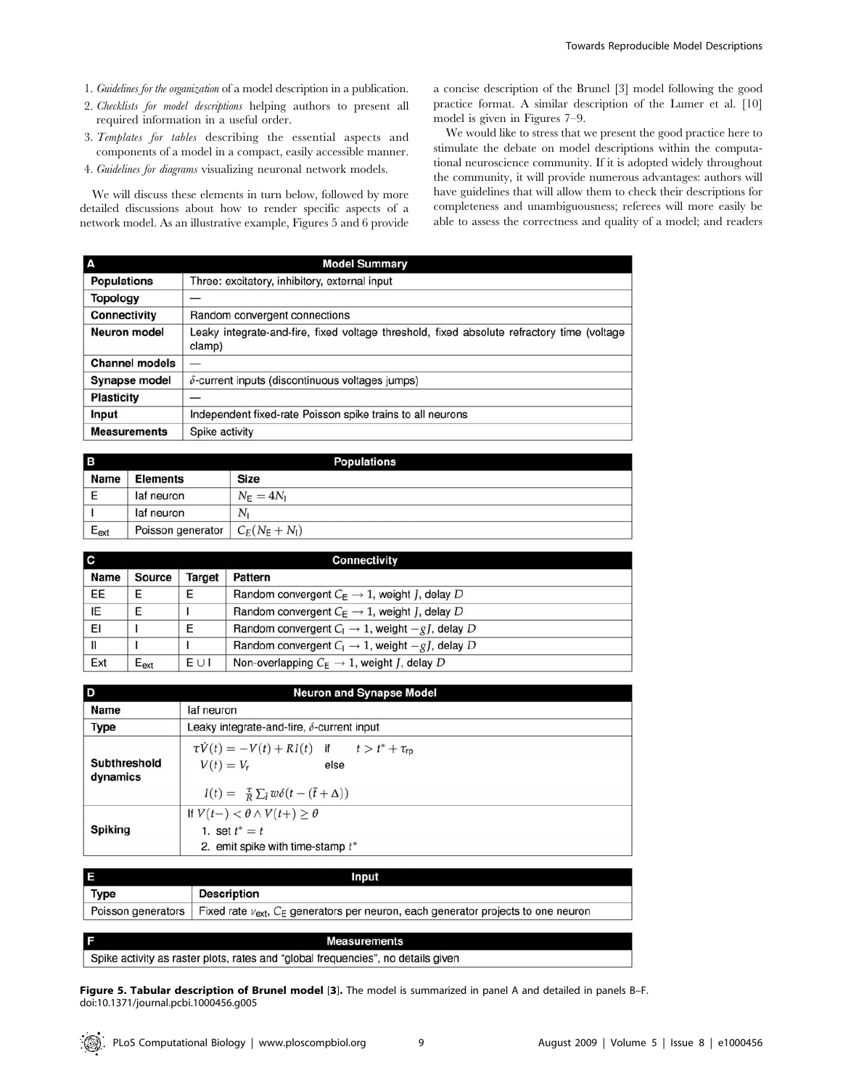- 1. Guidelines for the organization of a model description in a publication.
- 2. Checklists for model descriptions helping authors to present all required information in a useful order.
- 3. Templates for tables describing the essential aspects and components of a model in a compact, easily accessible manner.
- 4. Guidelines for diagrams visualizing neuronal network models.

We will discuss these elements in turn below, followed by more detailed discussions about how to render specific aspects of a network model. As an illustrative example, Figures 5 and 6 provide a concise description of the Brunel [3] model following the good practice format. A similar description of the Lumer et al. [10] model is given in Figures 7–9.

We would like to stress that we present the good practice here to stimulate the debate on model descriptions within the computational neuroscience community. If it is adopted widely throughout the community, it will provide numerous advantages: authors will have guidelines that will allow them to check their descriptions for completeness and unambiguousness; referees will more easily be able to assess the correctness and quality of a model; and readers

| A                     | <b>Model Summary</b>                                                                                 |  |  |
|-----------------------|------------------------------------------------------------------------------------------------------|--|--|
| <b>Populations</b>    | Three: excitatory, inhibitory, external input                                                        |  |  |
| <b>Topology</b>       |                                                                                                      |  |  |
| Connectivity          | Random convergent connections                                                                        |  |  |
| <b>Neuron model</b>   | Leaky integrate-and-fire, fixed voltage threshold, fixed absolute refractory time (voltage<br>clamp) |  |  |
| <b>Channel models</b> |                                                                                                      |  |  |
| <b>Synapse model</b>  | $\delta$ -current inputs (discontinuous voltages jumps)                                              |  |  |
| <b>Plasticity</b>     |                                                                                                      |  |  |
| Input                 | Independent fixed-rate Poisson spike trains to all neurons                                           |  |  |
| <b>Measurements</b>   | Spike activity                                                                                       |  |  |

| l B       |                   | <b>Populations</b>     |  |
|-----------|-------------------|------------------------|--|
| Name      | <b>Elements</b>   | <b>Size</b>            |  |
| E         | laf neuron        | $N_{\rm E}=4N_{\rm I}$ |  |
|           | laf neuron        | $N_{1}$                |  |
| $E_{ext}$ | Poisson generator | $C_E(N_E+N_I)$         |  |

| ГC   | <b>Connectivity</b> |                   |                                                                          |  |
|------|---------------------|-------------------|--------------------------------------------------------------------------|--|
| Name | Source              | Target<br>Pattern |                                                                          |  |
| EE   | E                   | E                 | Random convergent $C_E \rightarrow 1$ , weight <i>J</i> , delay <i>D</i> |  |
| ΙE   | E                   |                   | Random convergent $C_E \rightarrow 1$ , weight <i>J</i> , delay <i>D</i> |  |
| EI   |                     | E                 | Random convergent $C_1 \rightarrow 1$ , weight $-gI$ , delay D           |  |
| Ш    |                     |                   | Random convergent $C_1 \rightarrow 1$ , weight $-gI$ , delay D           |  |
| Ext  | $E_{ext}$           | EUI               | Non-overlapping $C_E \rightarrow 1$ , weight <i>J</i> , delay <i>D</i>   |  |

| D                        | <b>Neuron and Synapse Model</b>                                                                                                                                          |
|--------------------------|--------------------------------------------------------------------------------------------------------------------------------------------------------------------------|
| Name                     | laf neuron                                                                                                                                                               |
| <b>Type</b>              | Leaky integrate-and-fire, $\delta$ -current input                                                                                                                        |
| Subthreshold<br>dynamics | $\tau \dot{V}(t) = -V(t) + RI(t)$ if $t > t^* + \tau_{\text{rp}}$<br>$V(t) = V_r$<br>else<br>$I(t) = \frac{\tau}{R} \sum_{\tilde{t}} w \delta(t - (\tilde{t} + \Delta))$ |
| <b>Spiking</b>           | If $V(t-) < \theta \wedge V(t+) \geq \theta$<br>1. set $t^* = t$<br>2. emit spike with time-stamp $t^*$                                                                  |

| Input       |                                                                                                                |
|-------------|----------------------------------------------------------------------------------------------------------------|
| <b>Type</b> | <b>Description</b>                                                                                             |
|             | Poisson generators   Fixed rate $v_{ext}$ , $C_E$ generators per neuron, each generator projects to one neuron |

**Measurements** Spike activity as raster plots, rates and "global frequencies", no details given

Figure 5. Tabular description of Brunel model [3]. The model is summarized in panel A and detailed in panels B-F. doi:10.1371/journal.pcbi.1000456.g005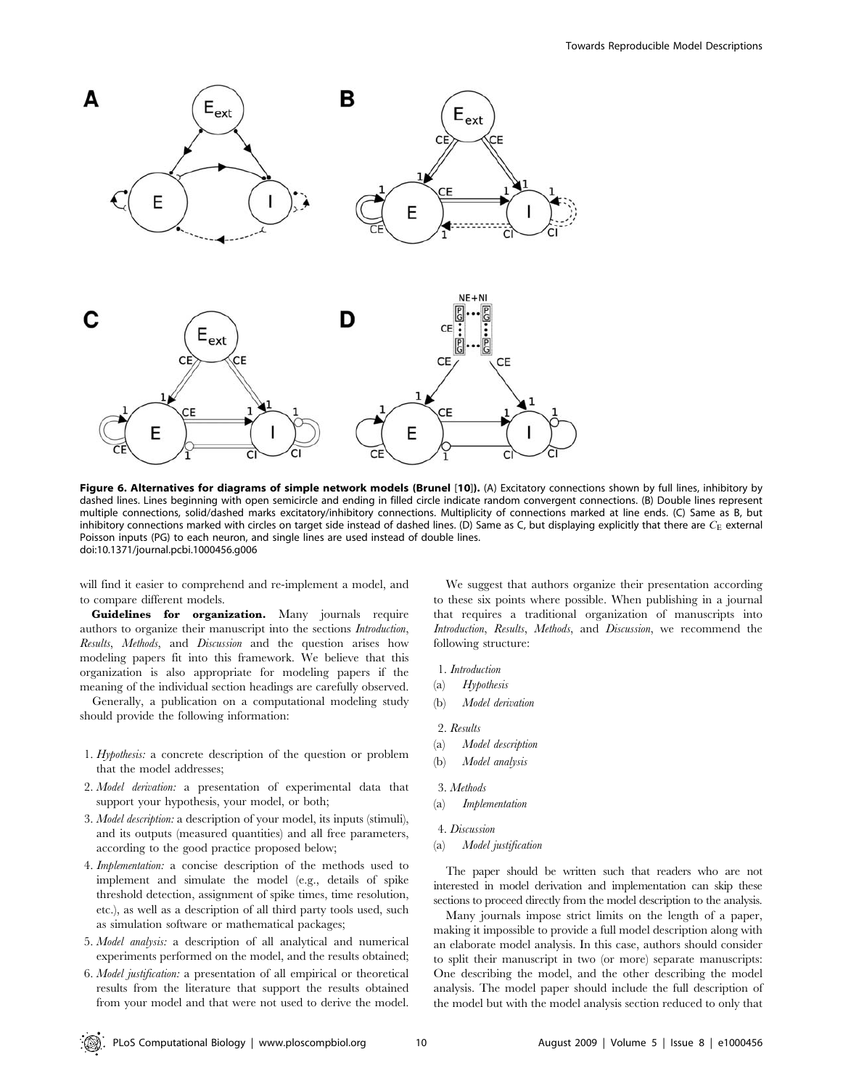

Figure 6. Alternatives for diagrams of simple network models (Brunel [10]). (A) Excitatory connections shown by full lines, inhibitory by dashed lines. Lines beginning with open semicircle and ending in filled circle indicate random convergent connections. (B) Double lines represent multiple connections, solid/dashed marks excitatory/inhibitory connections. Multiplicity of connections marked at line ends. (C) Same as B, but inhibitory connections marked with circles on target side instead of dashed lines. (D) Same as C, but displaying explicitly that there are  $C_{\rm E}$  external Poisson inputs (PG) to each neuron, and single lines are used instead of double lines. doi:10.1371/journal.pcbi.1000456.g006

will find it easier to comprehend and re-implement a model, and to compare different models.

Guidelines for organization. Many journals require authors to organize their manuscript into the sections Introduction, Results, Methods, and Discussion and the question arises how modeling papers fit into this framework. We believe that this organization is also appropriate for modeling papers if the meaning of the individual section headings are carefully observed.

Generally, a publication on a computational modeling study should provide the following information:

- 1. Hypothesis: a concrete description of the question or problem that the model addresses;
- 2. Model derivation: a presentation of experimental data that support your hypothesis, your model, or both;
- 3. Model description: a description of your model, its inputs (stimuli), and its outputs (measured quantities) and all free parameters, according to the good practice proposed below;
- 4. Implementation: a concise description of the methods used to implement and simulate the model (e.g., details of spike threshold detection, assignment of spike times, time resolution, etc.), as well as a description of all third party tools used, such as simulation software or mathematical packages;
- 5. Model analysis: a description of all analytical and numerical experiments performed on the model, and the results obtained;
- 6. Model justification: a presentation of all empirical or theoretical results from the literature that support the results obtained from your model and that were not used to derive the model.

We suggest that authors organize their presentation according to these six points where possible. When publishing in a journal that requires a traditional organization of manuscripts into Introduction, Results, Methods, and Discussion, we recommend the following structure:

- 1. Introduction
- (a) Hypothesis
- (b) Model derivation
- 2. Results
- (a) Model description
- (b) Model analysis
- 3. Methods
- (a) Implementation
- 4. Discussion
- (a) Model justification

The paper should be written such that readers who are not interested in model derivation and implementation can skip these sections to proceed directly from the model description to the analysis.

Many journals impose strict limits on the length of a paper, making it impossible to provide a full model description along with an elaborate model analysis. In this case, authors should consider to split their manuscript in two (or more) separate manuscripts: One describing the model, and the other describing the model analysis. The model paper should include the full description of the model but with the model analysis section reduced to only that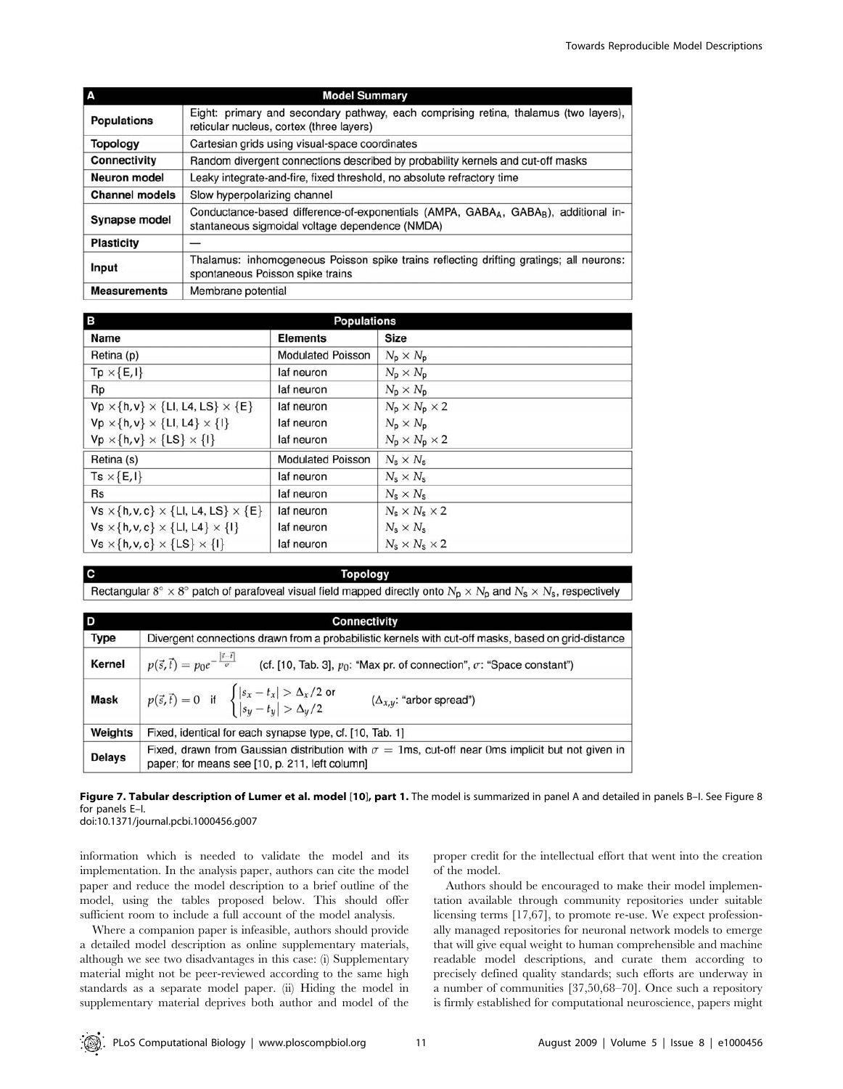|                       | <b>Model Summary</b>                                                                                                                                           |  |  |
|-----------------------|----------------------------------------------------------------------------------------------------------------------------------------------------------------|--|--|
| <b>Populations</b>    | Eight: primary and secondary pathway, each comprising retina, thalamus (two layers),<br>reticular nucleus, cortex (three layers)                               |  |  |
| <b>Topology</b>       | Cartesian grids using visual-space coordinates                                                                                                                 |  |  |
| <b>Connectivity</b>   | Random divergent connections described by probability kernels and cut-off masks                                                                                |  |  |
| <b>Neuron model</b>   | Leaky integrate-and-fire, fixed threshold, no absolute refractory time                                                                                         |  |  |
| <b>Channel models</b> | Slow hyperpolarizing channel                                                                                                                                   |  |  |
| <b>Synapse model</b>  | Conductance-based difference-of-exponentials (AMPA, GABA <sub>A</sub> , GABA <sub>R</sub> ), additional in-<br>stantaneous sigmoidal voltage dependence (NMDA) |  |  |
| <b>Plasticity</b>     |                                                                                                                                                                |  |  |
| Input                 | Thalamus: inhomogeneous Poisson spike trains reflecting drifting gratings; all neurons:<br>spontaneous Poisson spike trains                                    |  |  |
| <b>Measurements</b>   | Membrane potential                                                                                                                                             |  |  |

| в                                                          | <b>Populations</b>       |                                       |
|------------------------------------------------------------|--------------------------|---------------------------------------|
| Name                                                       | <b>Elements</b>          | <b>Size</b>                           |
| Retina (p)                                                 | <b>Modulated Poisson</b> | $N_{\rm p} \times N_{\rm p}$          |
| $Tp \times \{E, I\}$                                       | laf neuron               | $N_{\rm p} \times N_{\rm p}$          |
| Rp                                                         | laf neuron               | $N_{\rm p} \times N_{\rm p}$          |
| $Vp \times \{h, v\} \times \{Ll, L4, LS\} \times \{E\}$    | laf neuron               | $N_{\rm p} \times N_{\rm p} \times 2$ |
| $Vp \times \{h, v\} \times \{Ll, L4\} \times \{l\}$        | laf neuron               | $N_p \times N_p$                      |
| $Vp \times \{h, v\} \times \{LS\} \times \{I\}$            | laf neuron               | $N_p \times N_p \times 2$             |
| Retina (s)                                                 | <b>Modulated Poisson</b> | $N_s \times N_s$                      |
| $Ts \times \{E, I\}$                                       | laf neuron               | $N_s \times N_s$                      |
| <b>Rs</b>                                                  | laf neuron               | $N_s \times N_s$                      |
| $Vs \times \{h, v, c\} \times \{LI, LA, LS\} \times \{E\}$ | laf neuron               | $N_s \times N_s \times 2$             |
| $Vs \times \{h, v, c\} \times \{Ll, L4\} \times \{l\}$     | laf neuron               | $N_s \times N_s$                      |
| $Vs \times \{h, v, c\} \times \{LS\} \times \{I\}$         | laf neuron               | $N_s \times N_s \times 2$             |

## **Topology**

Rectangular  $8^\circ \times 8^\circ$  patch of parafoveal visual field mapped directly onto  $N_p \times N_p$  and  $N_s \times N_s$ , respectively

| D             | <b>Connectivity</b>                                                                                                                                          |  |  |
|---------------|--------------------------------------------------------------------------------------------------------------------------------------------------------------|--|--|
| <b>Type</b>   | Divergent connections drawn from a probabilistic kernels with cut-off masks, based on grid-distance                                                          |  |  |
| Kernel        | $p(\vec{s}, \vec{t}) = p_0 e^{-\frac{ \vec{s} - \vec{t} }{\sigma}}$ (cf. [10, Tab. 3], $p_0$ : "Max pr. of connection", $\sigma$ : "Space constant")         |  |  |
| <b>Mask</b>   | $p(\vec{s}, \vec{t}) = 0$ if $\begin{cases}  s_x - t_x  > \Delta_x/2 \text{ or} \\  s_y - t_y  > \Delta_y/2 \end{cases}$<br>$(\Delta_{x,y}:$ "arbor spread") |  |  |
| Weights       | Fixed, identical for each synapse type, cf. [10, Tab. 1]                                                                                                     |  |  |
| <b>Delays</b> | Fixed, drawn from Gaussian distribution with $\sigma = 1$ ms, cut-off near 0ms implicit but not given in<br>paper; for means see [10, p. 211, left column]   |  |  |

Figure 7. Tabular description of Lumer et al. model [10], part 1. The model is summarized in panel A and detailed in panels B-I. See Figure 8 for panels E–I.

doi:10.1371/journal.pcbi.1000456.g007

C

information which is needed to validate the model and its implementation. In the analysis paper, authors can cite the model paper and reduce the model description to a brief outline of the model, using the tables proposed below. This should offer sufficient room to include a full account of the model analysis.

Where a companion paper is infeasible, authors should provide a detailed model description as online supplementary materials, although we see two disadvantages in this case: (i) Supplementary material might not be peer-reviewed according to the same high standards as a separate model paper. (ii) Hiding the model in supplementary material deprives both author and model of the

proper credit for the intellectual effort that went into the creation of the model.

Authors should be encouraged to make their model implementation available through community repositories under suitable licensing terms [17,67], to promote re-use. We expect professionally managed repositories for neuronal network models to emerge that will give equal weight to human comprehensible and machine readable model descriptions, and curate them according to precisely defined quality standards; such efforts are underway in a number of communities [37,50,68–70]. Once such a repository is firmly established for computational neuroscience, papers might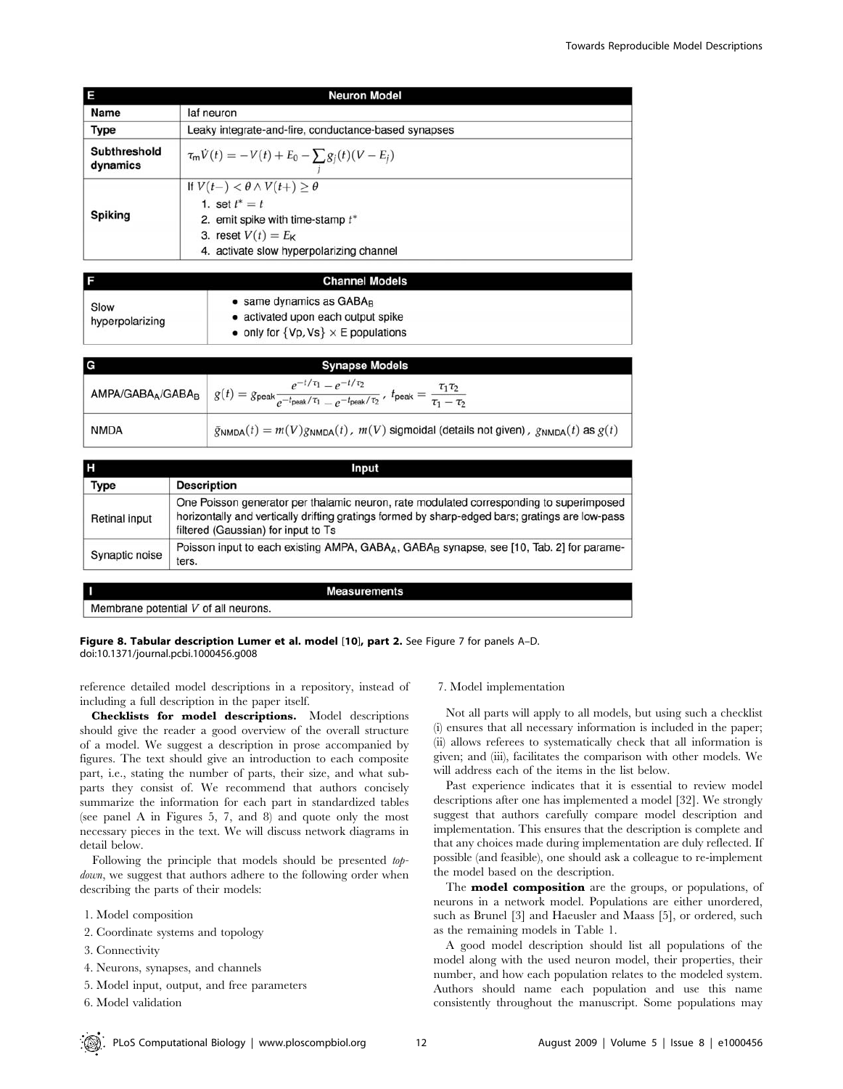|                          | <b>Neuron Model</b>                                                                                                                                                          |  |  |
|--------------------------|------------------------------------------------------------------------------------------------------------------------------------------------------------------------------|--|--|
| Name                     | laf neuron                                                                                                                                                                   |  |  |
| <b>Type</b>              | Leaky integrate-and-fire, conductance-based synapses                                                                                                                         |  |  |
| Subthreshold<br>dynamics | $\tau_m V(t) = -V(t) + E_0 - \sum g_j(t)(V - E_j)$                                                                                                                           |  |  |
| Spiking                  | If $V(t-) < \theta \wedge V(t+) \geq \theta$<br>1. set $t^* = t$<br>2. emit spike with time-stamp $t^*$<br>3. reset $V(t) = E_K$<br>4. activate slow hyperpolarizing channel |  |  |

|                         | <b>Channel Models</b>                                                                                                      |
|-------------------------|----------------------------------------------------------------------------------------------------------------------------|
| Slow<br>hyperpolarizing | $\bullet$ same dynamics as GABA $_B$<br>• activated upon each output spike<br>• only for $\{Vp, Vs\} \times E$ populations |

| G           | <b>Synapse Models</b>                                                                                                                                                                                                     |
|-------------|---------------------------------------------------------------------------------------------------------------------------------------------------------------------------------------------------------------------------|
|             | $e^{-t/\tau_1} - e^{-t/\tau_2}$<br>AMPA/GABA <sub>A</sub> /GABA <sub>B</sub> $g(t) = g_{\text{peak}} \frac{c}{e^{-t_{\text{peak}}/\tau_1} - e^{-t_{\text{peak}}/\tau_2}}$ , $t_{\text{peak}} = \frac{c}{\tau_1 - \tau_2}$ |
| <b>NMDA</b> | $\tilde{g}_{\text{NMDA}}(t) = m(V)g_{\text{NMDA}}(t)$ , $m(V)$ sigmoidal (details not given), $g_{\text{NMDA}}(t)$ as $g(t)$                                                                                              |

| н              | Input                                                                                                                                                                                                                             |
|----------------|-----------------------------------------------------------------------------------------------------------------------------------------------------------------------------------------------------------------------------------|
| Type           | <b>Description</b>                                                                                                                                                                                                                |
| Retinal input  | One Poisson generator per thalamic neuron, rate modulated corresponding to superimposed<br>horizontally and vertically drifting gratings formed by sharp-edged bars; gratings are low-pass<br>filtered (Gaussian) for input to Ts |
| Synaptic noise | Poisson input to each existing AMPA, GABA <sub>A</sub> , GABA <sub>B</sub> synapse, see [10, Tab. 2] for parame-<br>ters.                                                                                                         |

**Measurements** 

Figure 8. Tabular description Lumer et al. model [10], part 2. See Figure 7 for panels A-D. doi:10.1371/journal.pcbi.1000456.g008

reference detailed model descriptions in a repository, instead of

Membrane potential V of all neurons.

including a full description in the paper itself. Checklists for model descriptions. Model descriptions should give the reader a good overview of the overall structure of a model. We suggest a description in prose accompanied by figures. The text should give an introduction to each composite part, i.e., stating the number of parts, their size, and what subparts they consist of. We recommend that authors concisely summarize the information for each part in standardized tables (see panel A in Figures 5, 7, and 8) and quote only the most necessary pieces in the text. We will discuss network diagrams in detail below.

Following the principle that models should be presented *top*down, we suggest that authors adhere to the following order when describing the parts of their models:

- 1. Model composition
- 2. Coordinate systems and topology
- 3. Connectivity
- 4. Neurons, synapses, and channels
- 5. Model input, output, and free parameters
- 6. Model validation

## 7. Model implementation

Not all parts will apply to all models, but using such a checklist (i) ensures that all necessary information is included in the paper; (ii) allows referees to systematically check that all information is given; and (iii), facilitates the comparison with other models. We will address each of the items in the list below.

Past experience indicates that it is essential to review model descriptions after one has implemented a model [32]. We strongly suggest that authors carefully compare model description and implementation. This ensures that the description is complete and that any choices made during implementation are duly reflected. If possible (and feasible), one should ask a colleague to re-implement the model based on the description.

The **model composition** are the groups, or populations, of neurons in a network model. Populations are either unordered, such as Brunel [3] and Haeusler and Maass [5], or ordered, such as the remaining models in Table 1.

A good model description should list all populations of the model along with the used neuron model, their properties, their number, and how each population relates to the modeled system. Authors should name each population and use this name consistently throughout the manuscript. Some populations may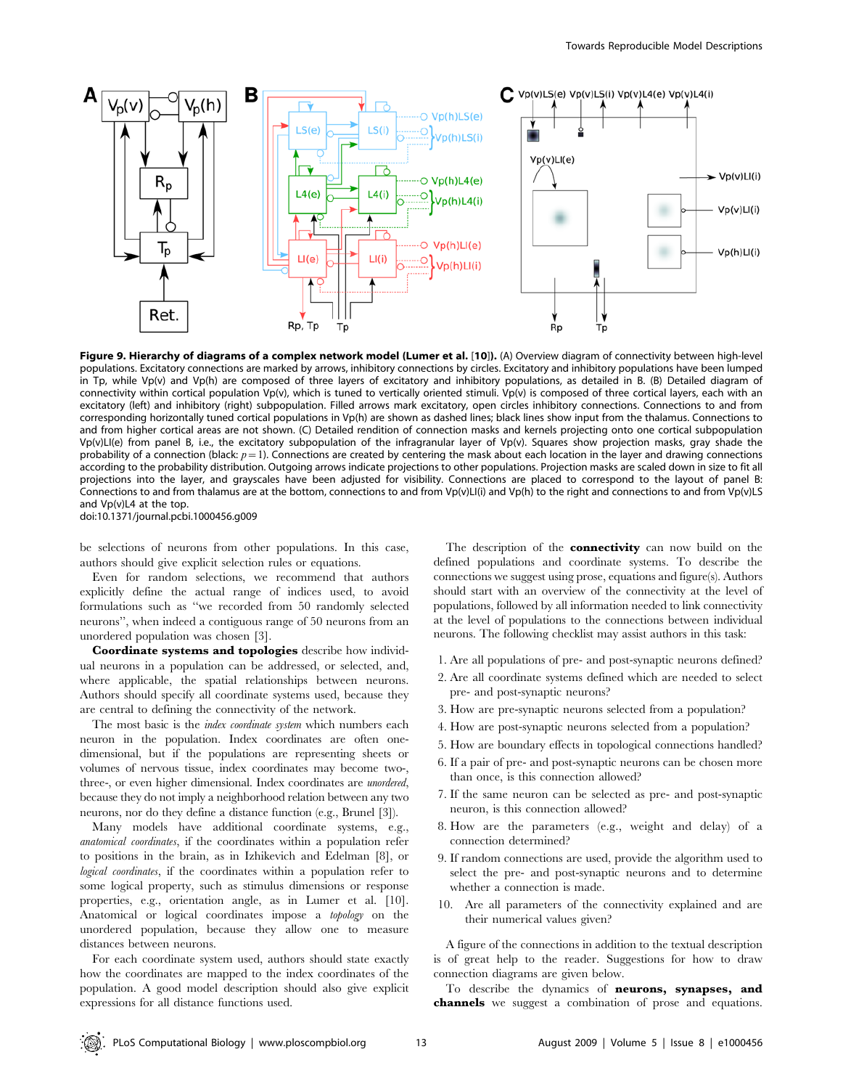

Figure 9. Hierarchy of diagrams of a complex network model (Lumer et al. [10]). (A) Overview diagram of connectivity between high-level populations. Excitatory connections are marked by arrows, inhibitory connections by circles. Excitatory and inhibitory populations have been lumped in Tp, while Vp(v) and Vp(h) are composed of three layers of excitatory and inhibitory populations, as detailed in B. (B) Detailed diagram of connectivity within cortical population Vp(v), which is tuned to vertically oriented stimuli. Vp(v) is composed of three cortical layers, each with an excitatory (left) and inhibitory (right) subpopulation. Filled arrows mark excitatory, open circles inhibitory connections. Connections to and from corresponding horizontally tuned cortical populations in Vp(h) are shown as dashed lines; black lines show input from the thalamus. Connections to and from higher cortical areas are not shown. (C) Detailed rendition of connection masks and kernels projecting onto one cortical subpopulation Vp(v)LI(e) from panel B, i.e., the excitatory subpopulation of the infragranular layer of Vp(v). Squares show projection masks, gray shade the probability of a connection (black:  $p=1$ ). Connections are created by centering the mask about each location in the layer and drawing connections according to the probability distribution. Outgoing arrows indicate projections to other populations. Projection masks are scaled down in size to fit all projections into the layer, and grayscales have been adjusted for visibility. Connections are placed to correspond to the layout of panel B: Connections to and from thalamus are at the bottom, connections to and from Vp(v)LI(i) and Vp(h) to the right and connections to and from Vp(v)LS and Vp(v)L4 at the top.

doi:10.1371/journal.pcbi.1000456.g009

be selections of neurons from other populations. In this case, authors should give explicit selection rules or equations.

Even for random selections, we recommend that authors explicitly define the actual range of indices used, to avoid formulations such as ''we recorded from 50 randomly selected neurons'', when indeed a contiguous range of 50 neurons from an unordered population was chosen [3].

Coordinate systems and topologies describe how individual neurons in a population can be addressed, or selected, and, where applicable, the spatial relationships between neurons. Authors should specify all coordinate systems used, because they are central to defining the connectivity of the network.

The most basic is the *index coordinate system* which numbers each neuron in the population. Index coordinates are often onedimensional, but if the populations are representing sheets or volumes of nervous tissue, index coordinates may become two-, three-, or even higher dimensional. Index coordinates are unordered, because they do not imply a neighborhood relation between any two neurons, nor do they define a distance function (e.g., Brunel [3]).

Many models have additional coordinate systems, e.g., anatomical coordinates, if the coordinates within a population refer to positions in the brain, as in Izhikevich and Edelman [8], or logical coordinates, if the coordinates within a population refer to some logical property, such as stimulus dimensions or response properties, e.g., orientation angle, as in Lumer et al. [10]. Anatomical or logical coordinates impose a topology on the unordered population, because they allow one to measure distances between neurons.

For each coordinate system used, authors should state exactly how the coordinates are mapped to the index coordinates of the population. A good model description should also give explicit expressions for all distance functions used.

The description of the **connectivity** can now build on the defined populations and coordinate systems. To describe the connections we suggest using prose, equations and figure(s). Authors should start with an overview of the connectivity at the level of populations, followed by all information needed to link connectivity at the level of populations to the connections between individual neurons. The following checklist may assist authors in this task:

- 1. Are all populations of pre- and post-synaptic neurons defined?
- 2. Are all coordinate systems defined which are needed to select pre- and post-synaptic neurons?
- 3. How are pre-synaptic neurons selected from a population?
- 4. How are post-synaptic neurons selected from a population?
- 5. How are boundary effects in topological connections handled?
- 6. If a pair of pre- and post-synaptic neurons can be chosen more than once, is this connection allowed?
- 7. If the same neuron can be selected as pre- and post-synaptic neuron, is this connection allowed?
- 8. How are the parameters (e.g., weight and delay) of a connection determined?
- 9. If random connections are used, provide the algorithm used to select the pre- and post-synaptic neurons and to determine whether a connection is made.
- 10. Are all parameters of the connectivity explained and are their numerical values given?

A figure of the connections in addition to the textual description is of great help to the reader. Suggestions for how to draw connection diagrams are given below.

To describe the dynamics of neurons, synapses, and channels we suggest a combination of prose and equations.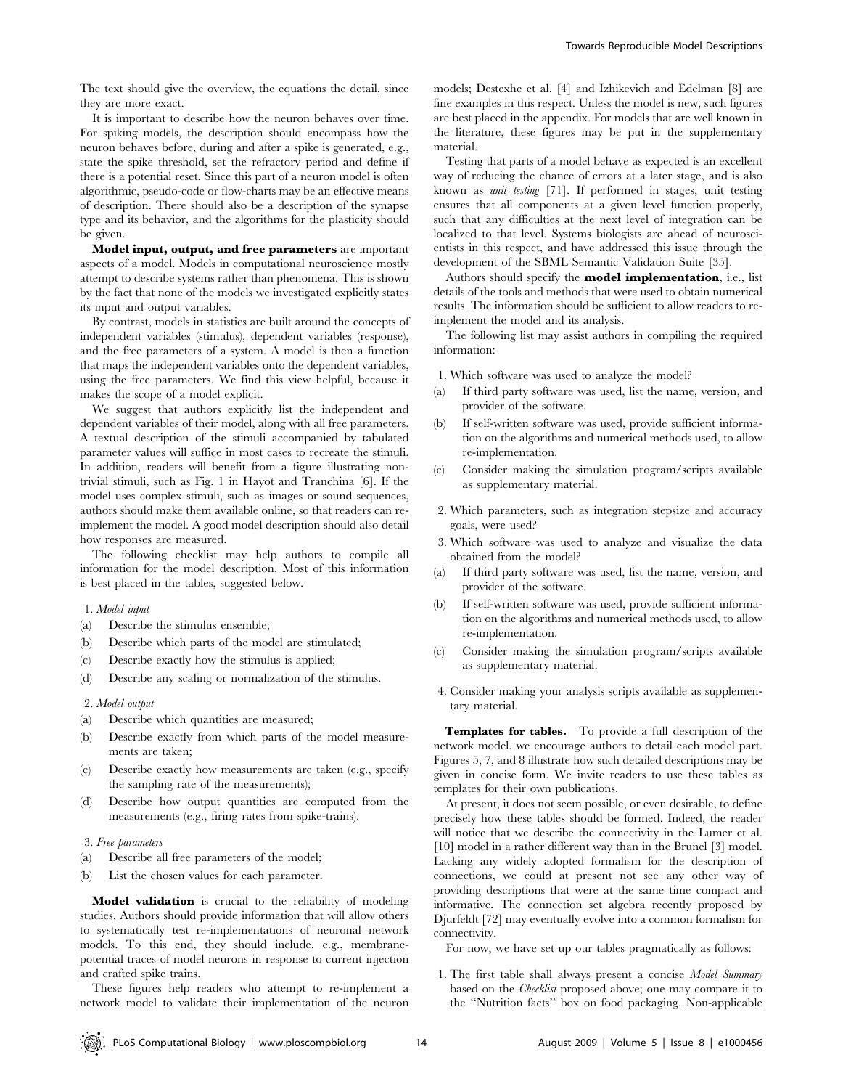The text should give the overview, the equations the detail, since they are more exact.

It is important to describe how the neuron behaves over time. For spiking models, the description should encompass how the neuron behaves before, during and after a spike is generated, e.g., state the spike threshold, set the refractory period and define if there is a potential reset. Since this part of a neuron model is often algorithmic, pseudo-code or flow-charts may be an effective means of description. There should also be a description of the synapse type and its behavior, and the algorithms for the plasticity should be given.

Model input, output, and free parameters are important aspects of a model. Models in computational neuroscience mostly attempt to describe systems rather than phenomena. This is shown by the fact that none of the models we investigated explicitly states its input and output variables.

By contrast, models in statistics are built around the concepts of independent variables (stimulus), dependent variables (response), and the free parameters of a system. A model is then a function that maps the independent variables onto the dependent variables, using the free parameters. We find this view helpful, because it makes the scope of a model explicit.

We suggest that authors explicitly list the independent and dependent variables of their model, along with all free parameters. A textual description of the stimuli accompanied by tabulated parameter values will suffice in most cases to recreate the stimuli. In addition, readers will benefit from a figure illustrating nontrivial stimuli, such as Fig. 1 in Hayot and Tranchina [6]. If the model uses complex stimuli, such as images or sound sequences, authors should make them available online, so that readers can reimplement the model. A good model description should also detail how responses are measured.

The following checklist may help authors to compile all information for the model description. Most of this information is best placed in the tables, suggested below.

#### 1. Model input

- (a) Describe the stimulus ensemble;
- (b) Describe which parts of the model are stimulated;
- (c) Describe exactly how the stimulus is applied;
- (d) Describe any scaling or normalization of the stimulus.

#### 2. Model output

- (a) Describe which quantities are measured;
- (b) Describe exactly from which parts of the model measurements are taken;
- (c) Describe exactly how measurements are taken (e.g., specify the sampling rate of the measurements);
- (d) Describe how output quantities are computed from the measurements (e.g., firing rates from spike-trains).

#### 3. Free parameters

- (a) Describe all free parameters of the model;
- (b) List the chosen values for each parameter.

Model validation is crucial to the reliability of modeling studies. Authors should provide information that will allow others to systematically test re-implementations of neuronal network models. To this end, they should include, e.g., membranepotential traces of model neurons in response to current injection and crafted spike trains.

These figures help readers who attempt to re-implement a network model to validate their implementation of the neuron models; Destexhe et al. [4] and Izhikevich and Edelman [8] are fine examples in this respect. Unless the model is new, such figures are best placed in the appendix. For models that are well known in the literature, these figures may be put in the supplementary material.

Testing that parts of a model behave as expected is an excellent way of reducing the chance of errors at a later stage, and is also known as unit testing [71]. If performed in stages, unit testing ensures that all components at a given level function properly, such that any difficulties at the next level of integration can be localized to that level. Systems biologists are ahead of neuroscientists in this respect, and have addressed this issue through the development of the SBML Semantic Validation Suite [35].

Authors should specify the **model implementation**, i.e., list details of the tools and methods that were used to obtain numerical results. The information should be sufficient to allow readers to reimplement the model and its analysis.

The following list may assist authors in compiling the required information:

- 1. Which software was used to analyze the model?
- (a) If third party software was used, list the name, version, and provider of the software.
- (b) If self-written software was used, provide sufficient information on the algorithms and numerical methods used, to allow re-implementation.
- (c) Consider making the simulation program/scripts available as supplementary material.
- 2. Which parameters, such as integration stepsize and accuracy goals, were used?
- 3. Which software was used to analyze and visualize the data obtained from the model?
- (a) If third party software was used, list the name, version, and provider of the software.
- (b) If self-written software was used, provide sufficient information on the algorithms and numerical methods used, to allow re-implementation.
- (c) Consider making the simulation program/scripts available as supplementary material.
- 4. Consider making your analysis scripts available as supplementary material.

Templates for tables. To provide a full description of the network model, we encourage authors to detail each model part. Figures 5, 7, and 8 illustrate how such detailed descriptions may be given in concise form. We invite readers to use these tables as templates for their own publications.

At present, it does not seem possible, or even desirable, to define precisely how these tables should be formed. Indeed, the reader will notice that we describe the connectivity in the Lumer et al. [10] model in a rather different way than in the Brunel [3] model. Lacking any widely adopted formalism for the description of connections, we could at present not see any other way of providing descriptions that were at the same time compact and informative. The connection set algebra recently proposed by Djurfeldt [72] may eventually evolve into a common formalism for connectivity.

For now, we have set up our tables pragmatically as follows:

1. The first table shall always present a concise Model Summary based on the Checklist proposed above; one may compare it to the ''Nutrition facts'' box on food packaging. Non-applicable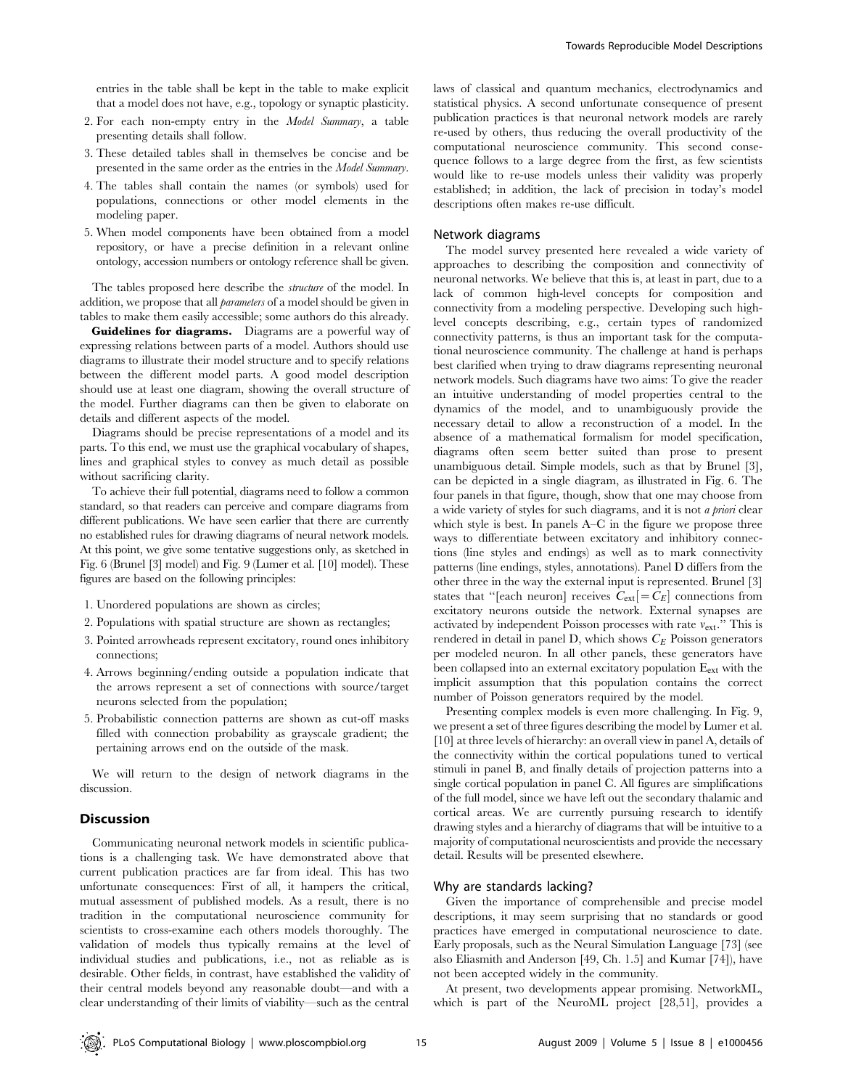entries in the table shall be kept in the table to make explicit that a model does not have, e.g., topology or synaptic plasticity.

- 2. For each non-empty entry in the Model Summary, a table presenting details shall follow.
- 3. These detailed tables shall in themselves be concise and be presented in the same order as the entries in the Model Summary.
- 4. The tables shall contain the names (or symbols) used for populations, connections or other model elements in the modeling paper.
- 5. When model components have been obtained from a model repository, or have a precise definition in a relevant online ontology, accession numbers or ontology reference shall be given.

The tables proposed here describe the structure of the model. In addition, we propose that all parameters of a model should be given in tables to make them easily accessible; some authors do this already.

Guidelines for diagrams. Diagrams are a powerful way of expressing relations between parts of a model. Authors should use diagrams to illustrate their model structure and to specify relations between the different model parts. A good model description should use at least one diagram, showing the overall structure of the model. Further diagrams can then be given to elaborate on details and different aspects of the model.

Diagrams should be precise representations of a model and its parts. To this end, we must use the graphical vocabulary of shapes, lines and graphical styles to convey as much detail as possible without sacrificing clarity.

To achieve their full potential, diagrams need to follow a common standard, so that readers can perceive and compare diagrams from different publications. We have seen earlier that there are currently no established rules for drawing diagrams of neural network models. At this point, we give some tentative suggestions only, as sketched in Fig. 6 (Brunel [3] model) and Fig. 9 (Lumer et al. [10] model). These figures are based on the following principles:

- 1. Unordered populations are shown as circles;
- 2. Populations with spatial structure are shown as rectangles;
- 3. Pointed arrowheads represent excitatory, round ones inhibitory connections;
- 4. Arrows beginning/ending outside a population indicate that the arrows represent a set of connections with source/target neurons selected from the population;
- 5. Probabilistic connection patterns are shown as cut-off masks filled with connection probability as grayscale gradient; the pertaining arrows end on the outside of the mask.

We will return to the design of network diagrams in the discussion.

## Discussion

Communicating neuronal network models in scientific publications is a challenging task. We have demonstrated above that current publication practices are far from ideal. This has two unfortunate consequences: First of all, it hampers the critical, mutual assessment of published models. As a result, there is no tradition in the computational neuroscience community for scientists to cross-examine each others models thoroughly. The validation of models thus typically remains at the level of individual studies and publications, i.e., not as reliable as is desirable. Other fields, in contrast, have established the validity of their central models beyond any reasonable doubt—and with a clear understanding of their limits of viability—such as the central

laws of classical and quantum mechanics, electrodynamics and statistical physics. A second unfortunate consequence of present publication practices is that neuronal network models are rarely re-used by others, thus reducing the overall productivity of the computational neuroscience community. This second consequence follows to a large degree from the first, as few scientists would like to re-use models unless their validity was properly established; in addition, the lack of precision in today's model descriptions often makes re-use difficult.

#### Network diagrams

The model survey presented here revealed a wide variety of approaches to describing the composition and connectivity of neuronal networks. We believe that this is, at least in part, due to a lack of common high-level concepts for composition and connectivity from a modeling perspective. Developing such highlevel concepts describing, e.g., certain types of randomized connectivity patterns, is thus an important task for the computational neuroscience community. The challenge at hand is perhaps best clarified when trying to draw diagrams representing neuronal network models. Such diagrams have two aims: To give the reader an intuitive understanding of model properties central to the dynamics of the model, and to unambiguously provide the necessary detail to allow a reconstruction of a model. In the absence of a mathematical formalism for model specification, diagrams often seem better suited than prose to present unambiguous detail. Simple models, such as that by Brunel [3], can be depicted in a single diagram, as illustrated in Fig. 6. The four panels in that figure, though, show that one may choose from a wide variety of styles for such diagrams, and it is not a priori clear which style is best. In panels A–C in the figure we propose three ways to differentiate between excitatory and inhibitory connections (line styles and endings) as well as to mark connectivity patterns (line endings, styles, annotations). Panel D differs from the other three in the way the external input is represented. Brunel [3] states that "[each neuron] receives  $C_{ext}$ [= $C_E$ ] connections from excitatory neurons outside the network. External synapses are activated by independent Poisson processes with rate  $v_{\text{ext}}$ ." This is rendered in detail in panel D, which shows  $C_E$  Poisson generators per modeled neuron. In all other panels, these generators have been collapsed into an external excitatory population E<sub>ext</sub> with the implicit assumption that this population contains the correct number of Poisson generators required by the model.

Presenting complex models is even more challenging. In Fig. 9, we present a set of three figures describing the model by Lumer et al. [10] at three levels of hierarchy: an overall view in panel A, details of the connectivity within the cortical populations tuned to vertical stimuli in panel B, and finally details of projection patterns into a single cortical population in panel C. All figures are simplifications of the full model, since we have left out the secondary thalamic and cortical areas. We are currently pursuing research to identify drawing styles and a hierarchy of diagrams that will be intuitive to a majority of computational neuroscientists and provide the necessary detail. Results will be presented elsewhere.

## Why are standards lacking?

Given the importance of comprehensible and precise model descriptions, it may seem surprising that no standards or good practices have emerged in computational neuroscience to date. Early proposals, such as the Neural Simulation Language [73] (see also Eliasmith and Anderson [49, Ch. 1.5] and Kumar [74]), have not been accepted widely in the community.

At present, two developments appear promising. NetworkML, which is part of the NeuroML project [28,51], provides a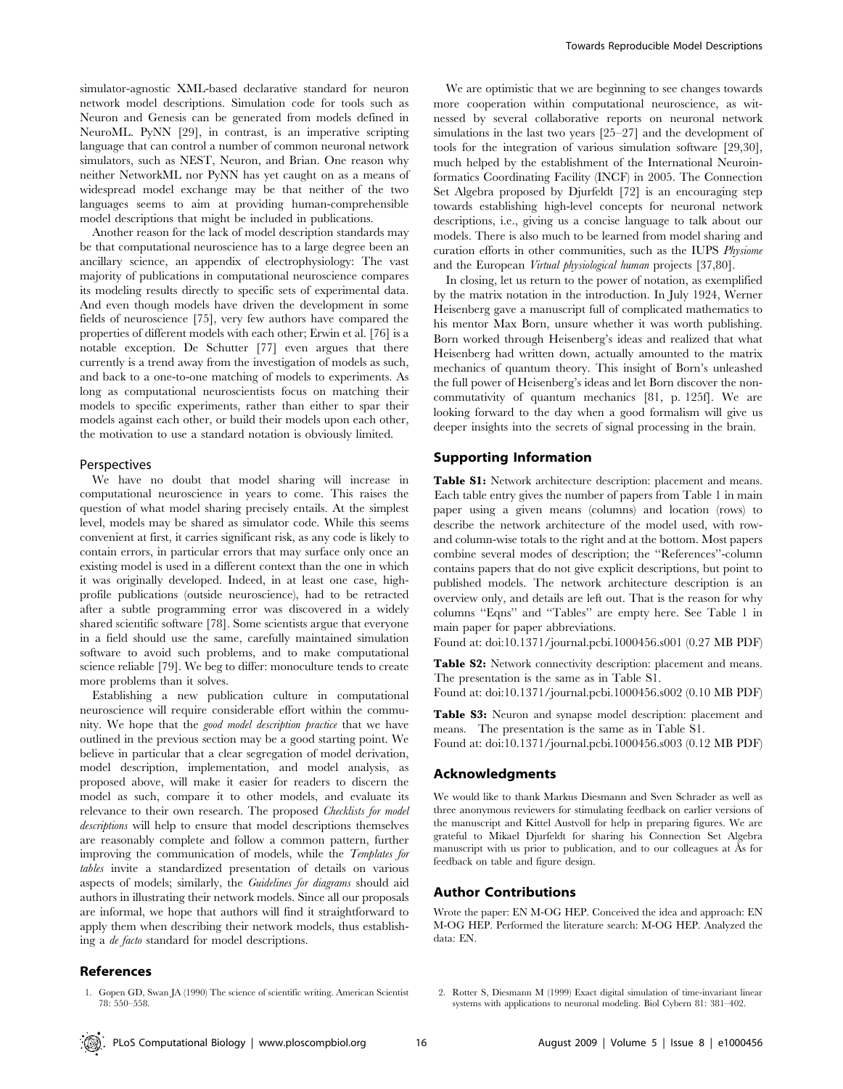simulator-agnostic XML-based declarative standard for neuron network model descriptions. Simulation code for tools such as Neuron and Genesis can be generated from models defined in NeuroML. PyNN [29], in contrast, is an imperative scripting language that can control a number of common neuronal network simulators, such as NEST, Neuron, and Brian. One reason why neither NetworkML nor PyNN has yet caught on as a means of widespread model exchange may be that neither of the two languages seems to aim at providing human-comprehensible model descriptions that might be included in publications.

Another reason for the lack of model description standards may be that computational neuroscience has to a large degree been an ancillary science, an appendix of electrophysiology: The vast majority of publications in computational neuroscience compares its modeling results directly to specific sets of experimental data. And even though models have driven the development in some fields of neuroscience [75], very few authors have compared the properties of different models with each other; Erwin et al. [76] is a notable exception. De Schutter [77] even argues that there currently is a trend away from the investigation of models as such, and back to a one-to-one matching of models to experiments. As long as computational neuroscientists focus on matching their models to specific experiments, rather than either to spar their models against each other, or build their models upon each other, the motivation to use a standard notation is obviously limited.

#### Perspectives

We have no doubt that model sharing will increase in computational neuroscience in years to come. This raises the question of what model sharing precisely entails. At the simplest level, models may be shared as simulator code. While this seems convenient at first, it carries significant risk, as any code is likely to contain errors, in particular errors that may surface only once an existing model is used in a different context than the one in which it was originally developed. Indeed, in at least one case, highprofile publications (outside neuroscience), had to be retracted after a subtle programming error was discovered in a widely shared scientific software [78]. Some scientists argue that everyone in a field should use the same, carefully maintained simulation software to avoid such problems, and to make computational science reliable [79]. We beg to differ: monoculture tends to create more problems than it solves.

Establishing a new publication culture in computational neuroscience will require considerable effort within the community. We hope that the good model description practice that we have outlined in the previous section may be a good starting point. We believe in particular that a clear segregation of model derivation, model description, implementation, and model analysis, as proposed above, will make it easier for readers to discern the model as such, compare it to other models, and evaluate its relevance to their own research. The proposed Checklists for model descriptions will help to ensure that model descriptions themselves are reasonably complete and follow a common pattern, further improving the communication of models, while the Templates for tables invite a standardized presentation of details on various aspects of models; similarly, the Guidelines for diagrams should aid authors in illustrating their network models. Since all our proposals are informal, we hope that authors will find it straightforward to apply them when describing their network models, thus establishing a de facto standard for model descriptions.

We are optimistic that we are beginning to see changes towards more cooperation within computational neuroscience, as witnessed by several collaborative reports on neuronal network simulations in the last two years [25–27] and the development of tools for the integration of various simulation software [29,30], much helped by the establishment of the International Neuroinformatics Coordinating Facility (INCF) in 2005. The Connection Set Algebra proposed by Djurfeldt [72] is an encouraging step towards establishing high-level concepts for neuronal network descriptions, i.e., giving us a concise language to talk about our models. There is also much to be learned from model sharing and curation efforts in other communities, such as the IUPS Physiome and the European Virtual physiological human projects [37,80].

In closing, let us return to the power of notation, as exemplified by the matrix notation in the introduction. In July 1924, Werner Heisenberg gave a manuscript full of complicated mathematics to his mentor Max Born, unsure whether it was worth publishing. Born worked through Heisenberg's ideas and realized that what Heisenberg had written down, actually amounted to the matrix mechanics of quantum theory. This insight of Born's unleashed the full power of Heisenberg's ideas and let Born discover the noncommutativity of quantum mechanics [81, p. 125f]. We are looking forward to the day when a good formalism will give us deeper insights into the secrets of signal processing in the brain.

## Supporting Information

Table S1: Network architecture description: placement and means. Each table entry gives the number of papers from Table 1 in main paper using a given means (columns) and location (rows) to describe the network architecture of the model used, with rowand column-wise totals to the right and at the bottom. Most papers combine several modes of description; the ''References''-column contains papers that do not give explicit descriptions, but point to published models. The network architecture description is an overview only, and details are left out. That is the reason for why columns ''Eqns'' and ''Tables'' are empty here. See Table 1 in main paper for paper abbreviations.

Found at: doi:10.1371/journal.pcbi.1000456.s001 (0.27 MB PDF)

Table S2: Network connectivity description: placement and means. The presentation is the same as in Table S1.

Found at: doi:10.1371/journal.pcbi.1000456.s002 (0.10 MB PDF)

Table S3: Neuron and synapse model description: placement and means. The presentation is the same as in Table S1. Found at: doi:10.1371/journal.pcbi.1000456.s003 (0.12 MB PDF)

#### Acknowledgments

We would like to thank Markus Diesmann and Sven Schrader as well as three anonymous reviewers for stimulating feedback on earlier versions of the manuscript and Kittel Austvoll for help in preparing figures. We are grateful to Mikael Djurfeldt for sharing his Connection Set Algebra manuscript with us prior to publication, and to our colleagues at As for feedback on table and figure design.

## Author Contributions

Wrote the paper: EN M-OG HEP. Conceived the idea and approach: EN M-OG HEP. Performed the literature search: M-OG HEP. Analyzed the data: EN.

## References

1. Gopen GD, Swan JA (1990) The science of scientific writing. American Scientist 78: 550–558.

<sup>2.</sup> Rotter S, Diesmann M (1999) Exact digital simulation of time-invariant linear systems with applications to neuronal modeling. Biol Cybern 81: 381–402.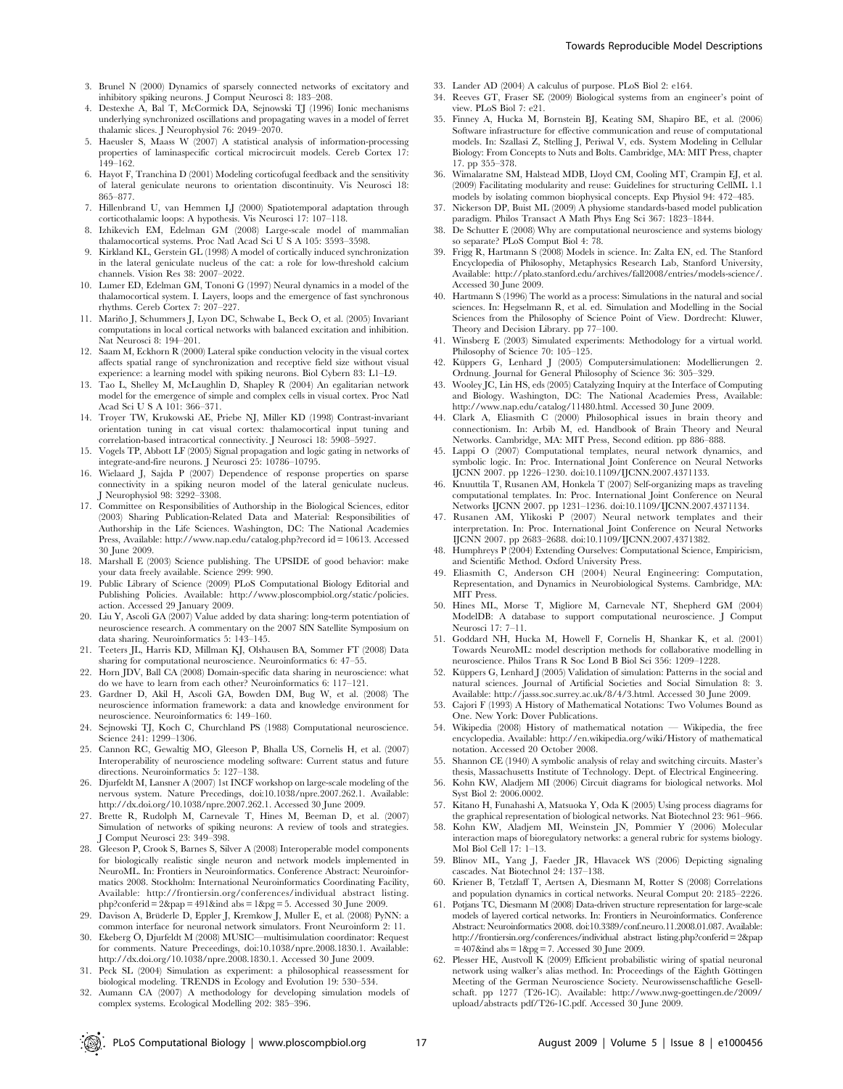- 3. Brunel N (2000) Dynamics of sparsely connected networks of excitatory and inhibitory spiking neurons. J Comput Neurosci 8: 183–208.
- 4. Destexhe A, Bal T, McCormick DA, Sejnowski TJ (1996) Ionic mechanisms underlying synchronized oscillations and propagating waves in a model of ferret thalamic slices. J Neurophysiol 76: 2049–2070.
- 5. Haeusler S, Maass W (2007) A statistical analysis of information-processing properties of laminaspecific cortical microcircuit models. Cereb Cortex 17:  $149-162$
- 6. Hayot F, Tranchina D (2001) Modeling corticofugal feedback and the sensitivity of lateral geniculate neurons to orientation discontinuity. Vis Neurosci 18: 865–877.
- 7. Hillenbrand U, van Hemmen LJ (2000) Spatiotemporal adaptation through corticothalamic loops: A hypothesis. Vis Neurosci 17: 107–118.
- 8. Izhikevich EM, Edelman GM (2008) Large-scale model of mammalian thalamocortical systems. Proc Natl Acad Sci U S A 105: 3593–3598.
- 9. Kirkland KL, Gerstein GL (1998) A model of cortically induced synchronization in the lateral geniculate nucleus of the cat: a role for low-threshold calcium channels. Vision Res 38: 2007–2022.
- 10. Lumer ED, Edelman GM, Tononi G (1997) Neural dynamics in a model of the thalamocortical system. I. Layers, loops and the emergence of fast synchronous rhythms. Cereb Cortex 7: 207–227.
- 11. Mariño J, Schummers J, Lyon DC, Schwabe L, Beck O, et al. (2005) Invariant computations in local cortical networks with balanced excitation and inhibition. Nat Neurosci 8: 194–201.
- 12. Saam M, Eckhorn R (2000) Lateral spike conduction velocity in the visual cortex affects spatial range of synchronization and receptive field size without visual experience: a learning model with spiking neurons. Biol Cybern 83: L1–L9.
- 13. Tao L, Shelley M, McLaughlin D, Shapley R (2004) An egalitarian network model for the emergence of simple and complex cells in visual cortex. Proc Natl Acad Sci U S A 101: 366–371.
- 14. Troyer TW, Krukowski AE, Priebe NJ, Miller KD (1998) Contrast-invariant orientation tuning in cat visual cortex: thalamocortical input tuning and correlation-based intracortical connectivity. J Neurosci 18: 5908–5927.
- 15. Vogels TP, Abbott LF (2005) Signal propagation and logic gating in networks of integrate-and-fire neurons. J Neurosci 25: 10786–10795.
- 16. Wielaard J, Sajda P (2007) Dependence of response properties on sparse connectivity in a spiking neuron model of the lateral geniculate nucleus. J Neurophysiol 98: 3292–3308.
- 17. Committee on Responsibilities of Authorship in the Biological Sciences, editor (2003) Sharing Publication-Related Data and Material: Responsibilities of Authorship in the Life Sciences. Washington, DC: The National Academies Press, Available: http://www.nap.edu/catalog.php?record id = 10613. Accessed 30 June 2009.
- 18. Marshall E (2003) Science publishing. The UPSIDE of good behavior: make your data freely available. Science 299: 990.
- 19. Public Library of Science (2009) PLoS Computational Biology Editorial and Publishing Policies. Available: http://www.ploscompbiol.org/static/policies. action. Accessed 29 January 2009.
- 20. Liu Y, Ascoli GA (2007) Value added by data sharing: long-term potentiation of neuroscience research. A commentary on the 2007 SfN Satellite Symposium on data sharing. Neuroinformatics 5: 143–145.
- 21. Teeters JL, Harris KD, Millman KJ, Olshausen BA, Sommer FT (2008) Data sharing for computational neuroscience. Neuroinformatics 6: 47–55.
- 22. Horn JDV, Ball CA (2008) Domain-specific data sharing in neuroscience: what do we have to learn from each other? Neuroinformatics 6: 117–121.
- 23. Gardner D, Akil H, Ascoli GA, Bowden DM, Bug W, et al. (2008) The neuroscience information framework: a data and knowledge environment for neuroscience. Neuroinformatics 6: 149–160.
- 24. Sejnowski TJ, Koch C, Churchland PS (1988) Computational neuroscience. Science 241: 1299–1306.
- 25. Cannon RC, Gewaltig MO, Gleeson P, Bhalla US, Cornelis H, et al. (2007) Interoperability of neuroscience modeling software: Current status and future directions. Neuroinformatics 5: 127–138.
- 26. Djurfeldt M, Lansner A (2007) 1st INCF workshop on large-scale modeling of the nervous system. Nature Precedings, doi:10.1038/npre.2007.262.1. Available: http://dx.doi.org/10.1038/npre.2007.262.1. Accessed 30 June 2009.
- 27. Brette R, Rudolph M, Carnevale T, Hines M, Beeman D, et al. (2007) Simulation of networks of spiking neurons: A review of tools and strategies. J Comput Neurosci 23: 349–398.
- 28. Gleeson P, Crook S, Barnes S, Silver A (2008) Interoperable model components for biologically realistic single neuron and network models implemented in NeuroML. In: Frontiers in Neuroinformatics. Conference Abstract: Neuroinformatics 2008. Stockholm: International Neuroinformatics Coordinating Facility, Available: http://frontiersin.org/conferences/individual abstract listing. php?conferid =  $2$ &pap =  $491$ &ind abs =  $1$ &pg = 5. Accessed 30 June 2009.
- 29. Davison A, Brüderle D, Eppler J, Kremkow J, Muller E, et al. (2008) PyNN: a common interface for neuronal network simulators. Front Neuroinform 2: 11.
- 30. Ekeberg Ö, Djurfeldt M (2008) MUSIC—multisimulation coordinator: Request for comments. Nature Preceedings, doi:10.1038/npre.2008.1830.1. Available: http://dx.doi.org/10.1038/npre.2008.1830.1. Accessed 30 June 2009.
- 31. Peck SL (2004) Simulation as experiment: a philosophical reassessment for biological modeling. TRENDS in Ecology and Evolution 19: 530–534.
- 32. Aumann CA (2007) A methodology for developing simulation models of complex systems. Ecological Modelling 202: 385–396.
- 33. Lander AD (2004) A calculus of purpose. PLoS Biol 2: e164.
- 34. Reeves GT, Fraser SE (2009) Biological systems from an engineer's point of view. PLoS Biol 7: e21.
- 35. Finney A, Hucka M, Bornstein BJ, Keating SM, Shapiro BE, et al. (2006) Software infrastructure for effective communication and reuse of computational models. In: Szallasi Z, Stelling J, Periwal V, eds. System Modeling in Cellular Biology: From Concepts to Nuts and Bolts. Cambridge, MA: MIT Press, chapter 17. pp 355–378.
- 36. Wimalaratne SM, Halstead MDB, Lloyd CM, Cooling MT, Crampin EJ, et al. (2009) Facilitating modularity and reuse: Guidelines for structuring CellML 1.1 models by isolating common biophysical concepts. Exp Physiol 94: 472–485.
- 37. Nickerson DP, Buist ML (2009) A physiome standards-based model publication paradigm. Philos Transact A Math Phys Eng Sci 367: 1823–1844.
- 38. De Schutter E (2008) Why are computational neuroscience and systems biology so separate? PLoS Comput Biol 4: 78.
- 39. Frigg R, Hartmann S (2008) Models in science. In: Zalta EN, ed. The Stanford Encyclopedia of Philosophy, Metaphysics Research Lab, Stanford University, Available: http://plato.stanford.edu/archives/fall2008/entries/models-science/. Accessed 30 June 2009.
- 40. Hartmann S (1996) The world as a process: Simulations in the natural and social sciences. In: Hegselmann R, et al. ed. Simulation and Modelling in the Social Sciences from the Philosophy of Science Point of View. Dordrecht: Kluwer, Theory and Decision Library. pp 77–100.
- 41. Winsberg E (2003) Simulated experiments: Methodology for a virtual world. Philosophy of Science 70: 105-125.
- 42. Küppers G, Lenhard J (2005) Computersimulationen: Modellierungen 2. Ordnung. Journal for General Philosophy of Science 36: 305–329.
- 43. Wooley JC, Lin HS, eds (2005) Catalyzing Inquiry at the Interface of Computing and Biology. Washington, DC: The National Academies Press, Available: http://www.nap.edu/catalog/11480.html. Accessed 30 June 2009.
- 44. Clark A, Eliasmith C (2000) Philosophical issues in brain theory and connectionism. In: Arbib M, ed. Handbook of Brain Theory and Neural Networks. Cambridge, MA: MIT Press, Second edition. pp 886–888.
- 45. Lappi O (2007) Computational templates, neural network dynamics, and symbolic logic. In: Proc. International Joint Conference on Neural Networks IJCNN 2007. pp 1226–1230. doi:10.1109/IJCNN.2007.4371133.
- 46. Knuuttila T, Rusanen AM, Honkela T (2007) Self-organizing maps as traveling computational templates. In: Proc. International Joint Conference on Neural Networks IJCNN 2007. pp 1231–1236. doi:10.1109/IJCNN.2007.4371134.
- 47. Rusanen AM, Ylikoski P (2007) Neural network templates and their interpretation. In: Proc. International Joint Conference on Neural Networks IJCNN 2007. pp 2683–2688. doi:10.1109/IJCNN.2007.4371382.
- 48. Humphreys P (2004) Extending Ourselves: Computational Science, Empiricism, and Scientific Method. Oxford University Press.
- 49. Eliasmith C, Anderson CH (2004) Neural Engineering: Computation, Representation, and Dynamics in Neurobiological Systems. Cambridge, MA: MIT Press.
- 50. Hines ML, Morse T, Migliore M, Carnevale NT, Shepherd GM (2004) ModelDB: A database to support computational neuroscience. J Comput Neurosci 17: 7–11.
- 51. Goddard NH, Hucka M, Howell F, Cornelis H, Shankar K, et al. (2001) Towards NeuroML: model description methods for collaborative modelling in neuroscience. Philos Trans R Soc Lond B Biol Sci 356: 1209–1228.
- 52. Küppers G, Lenhard J (2005) Validation of simulation: Patterns in the social and natural sciences. Journal of Artificial Societies and Social Simulation 8: 3. Available: http://jasss.soc.surrey.ac.uk/8/4/3.html. Accessed 30 June 2009.
- 53. Cajori F (1993) A History of Mathematical Notations: Two Volumes Bound as One. New York: Dover Publications.
- 54. Wikipedia (2008) History of mathematical notation Wikipedia, the free encyclopedia. Available: http://en.wikipedia.org/wiki/History of mathematical notation. Accessed 20 October 2008.
- 55. Shannon CE (1940) A symbolic analysis of relay and switching circuits. Master's thesis, Massachusetts Institute of Technology. Dept. of Electrical Engineering.
- 56. Kohn KW, Aladjem MI (2006) Circuit diagrams for biological networks. Mol Syst Biol 2: 2006.0002.
- 57. Kitano H, Funahashi A, Matsuoka Y, Oda K (2005) Using process diagrams for the graphical representation of biological networks. Nat Biotechnol 23: 961–966.
- 58. Kohn KW, Aladjem MI, Weinstein JN, Pommier Y (2006) Molecular interaction maps of bioregulatory networks: a general rubric for systems biology. Mol Biol Cell 17: 1–13.
- 59. Blinov ML, Yang J, Faeder JR, Hlavacek WS (2006) Depicting signaling cascades. Nat Biotechnol 24: 137–138.
- 60. Kriener B, Tetzlaff T, Aertsen A, Diesmann M, Rotter S (2008) Correlations and population dynamics in cortical networks. Neural Comput 20: 2185–2226.
- 61. Potjans TC, Diesmann M (2008) Data-driven structure representation for large-scale models of layered cortical networks. In: Frontiers in Neuroinformatics. Conference Abstract: Neuroinformatics 2008. doi:10.3389/conf.neuro.11.2008.01.087. Available: http://frontiersin.org/conferences/individual abstract listing.php?conferid = 2&pap  $= 407$ &ind abs  $= 1$ &pg  $= 7$ . Accessed 30 June 2009.
- 62. Plesser HE, Austvoll K (2009) Efficient probabilistic wiring of spatial neuronal network using walker's alias method. In: Proceedings of the Eighth Göttingen Meeting of the German Neuroscience Society. Neurowissenschaftliche Gesellschaft. pp 1277 (T26-1C). Available: http://www.nwg-goettingen.de/2009/ upload/abstracts pdf/T26-1C.pdf. Accessed 30 June 2009.